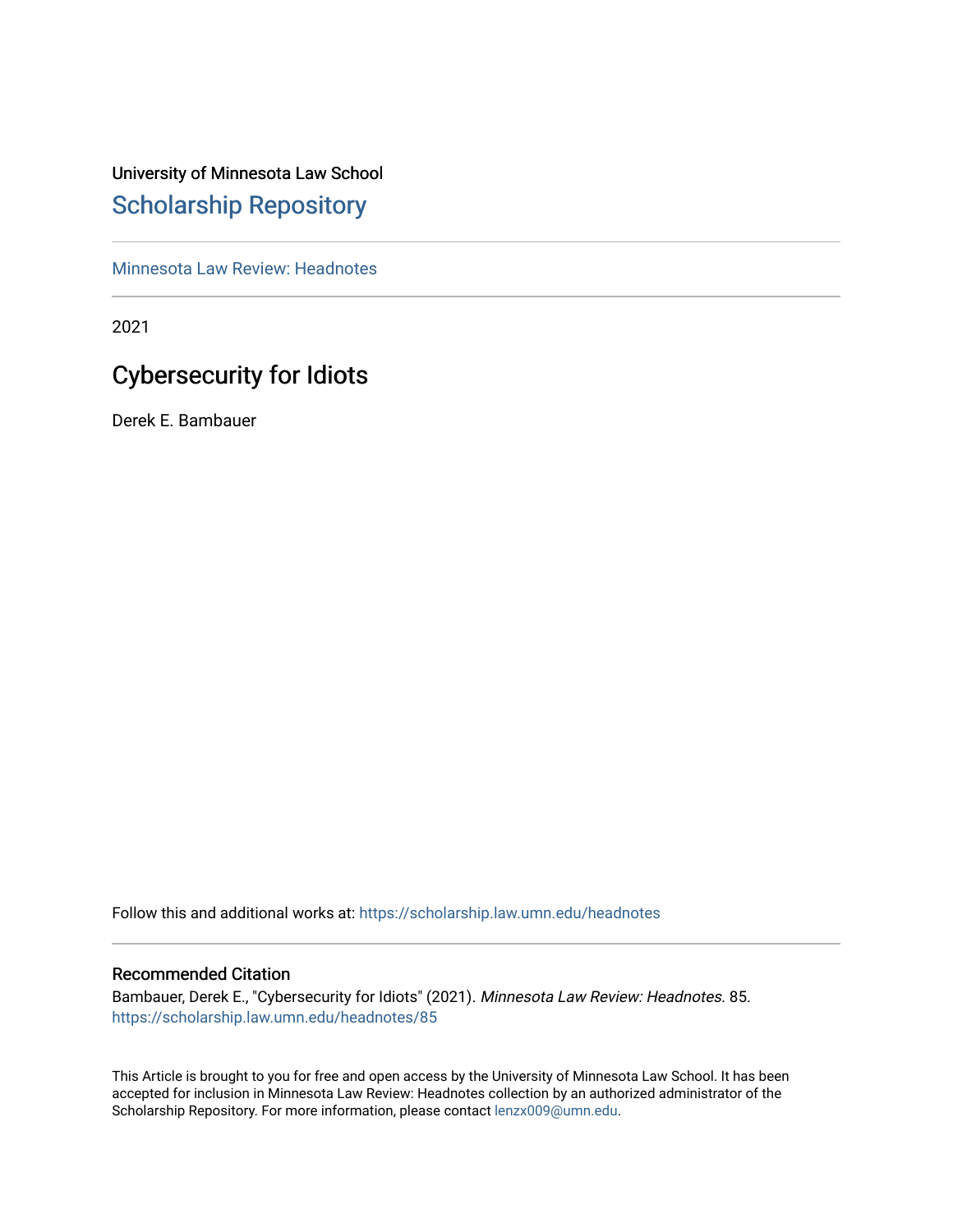# University of Minnesota Law School [Scholarship Repository](https://scholarship.law.umn.edu/)

[Minnesota Law Review: Headnotes](https://scholarship.law.umn.edu/headnotes) 

2021

# Cybersecurity for Idiots

Derek E. Bambauer

Follow this and additional works at: [https://scholarship.law.umn.edu/headnotes](https://scholarship.law.umn.edu/headnotes?utm_source=scholarship.law.umn.edu%2Fheadnotes%2F85&utm_medium=PDF&utm_campaign=PDFCoverPages) 

# Recommended Citation

Bambauer, Derek E., "Cybersecurity for Idiots" (2021). Minnesota Law Review: Headnotes. 85. [https://scholarship.law.umn.edu/headnotes/85](https://scholarship.law.umn.edu/headnotes/85?utm_source=scholarship.law.umn.edu%2Fheadnotes%2F85&utm_medium=PDF&utm_campaign=PDFCoverPages)

This Article is brought to you for free and open access by the University of Minnesota Law School. It has been accepted for inclusion in Minnesota Law Review: Headnotes collection by an authorized administrator of the Scholarship Repository. For more information, please contact [lenzx009@umn.edu.](mailto:lenzx009@umn.edu)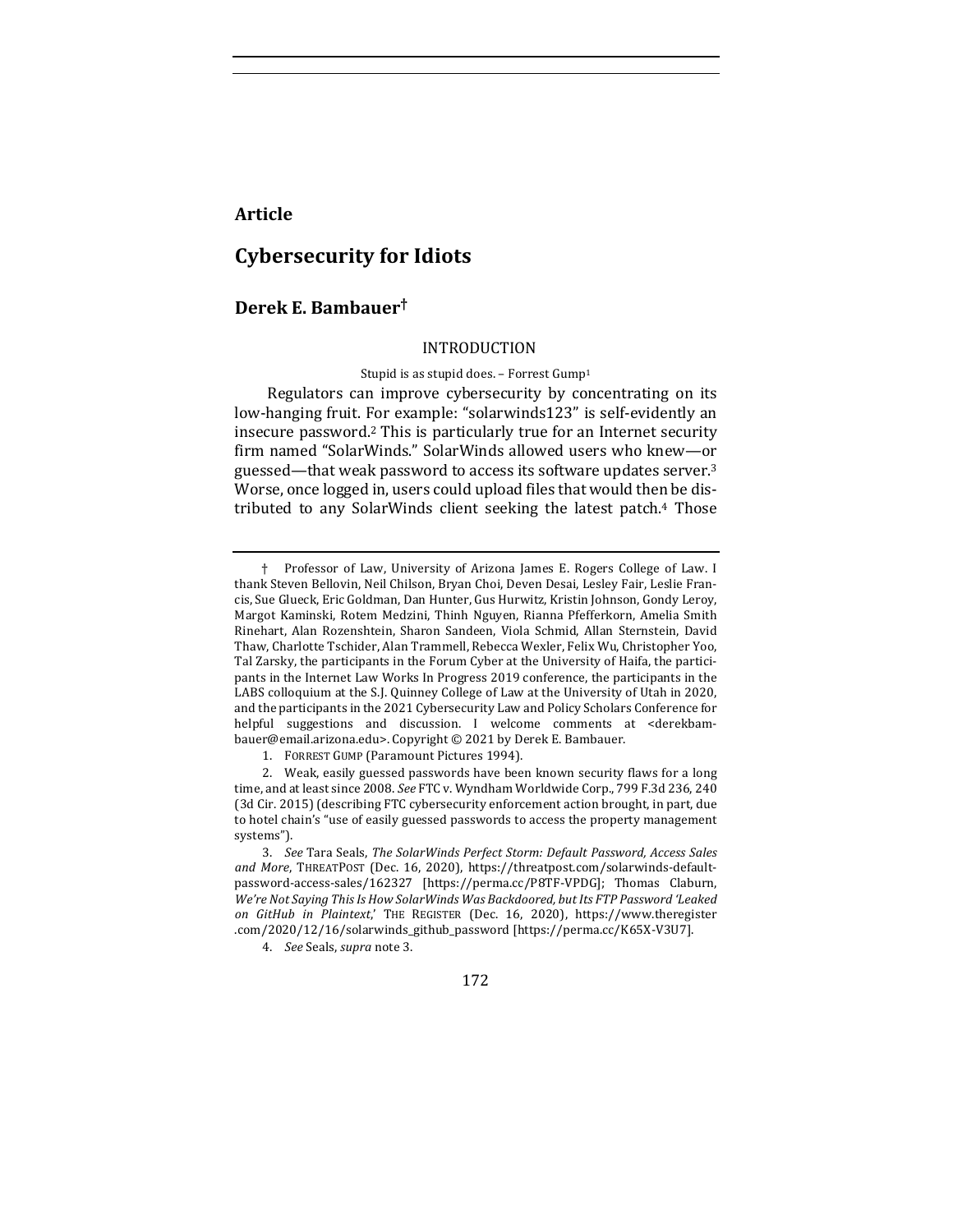# **Article**

# **Cybersecurity for Idiots**

# **Derek E. Bambauer†**

#### INTRODUCTION

#### Stupid is as stupid does. - Forrest Gump<sup>1</sup>

Regulators can improve cybersecurity by concentrating on its low-hanging fruit. For example: "solarwinds123" is self-evidently an insecure password.<sup>2</sup> This is particularly true for an Internet security firm named "SolarWinds." SolarWinds allowed users who knew-or guessed—that weak password to access its software updates server.<sup>3</sup> Worse, once logged in, users could upload files that would then be distributed to any SolarWinds client seeking the latest patch.<sup>4</sup> Those

4. *See* Seals, *supra* note 3.

172

<sup>†</sup> Professor of Law, University of Arizona James E. Rogers College of Law. I thank Steven Bellovin, Neil Chilson, Bryan Choi, Deven Desai, Lesley Fair, Leslie Francis, Sue Glueck, Eric Goldman, Dan Hunter, Gus Hurwitz, Kristin Johnson, Gondy Leroy, Margot Kaminski, Rotem Medzini, Thinh Nguyen, Rianna Pfefferkorn, Amelia Smith Rinehart, Alan Rozenshtein, Sharon Sandeen, Viola Schmid, Allan Sternstein, David Thaw, Charlotte Tschider, Alan Trammell, Rebecca Wexler, Felix Wu, Christopher Yoo, Tal Zarsky, the participants in the Forum Cyber at the University of Haifa, the participants in the Internet Law Works In Progress 2019 conference, the participants in the LABS colloquium at the S.J. Quinney College of Law at the University of Utah in 2020, and the participants in the 2021 Cybersecurity Law and Policy Scholars Conference for helpful suggestions and discussion. I welcome comments at <derekbambauer@email.arizona.edu>. Copyright © 2021 by Derek E. Bambauer.

<sup>1.</sup> FORREST GUMP (Paramount Pictures 1994).

<sup>2.</sup> Weak, easily guessed passwords have been known security flaws for a long time, and at least since 2008. See FTC v. Wyndham Worldwide Corp., 799 F.3d 236, 240 (3d Cir. 2015) (describing FTC cybersecurity enforcement action brought, in part, due to hotel chain's "use of easily guessed passwords to access the property management systems").

<sup>3.</sup> See Tara Seals, The SolarWinds Perfect Storm: Default Password, Access Sales and More, THREATPOST (Dec. 16, 2020), https://threatpost.com/solarwinds-defaultpassword-access-sales/162327 [https://perma.cc/P8TF-VPDG]; Thomas Claburn, We're Not Saying This Is How SolarWinds Was Backdoored, but Its FTP Password 'Leaked *on GitHub in Plaintext*,' THE REGISTER (Dec. 16, 2020), https://www.theregister .com/2020/12/16/solarwinds\_github\_password [https://perma.cc/K65X-V3U7].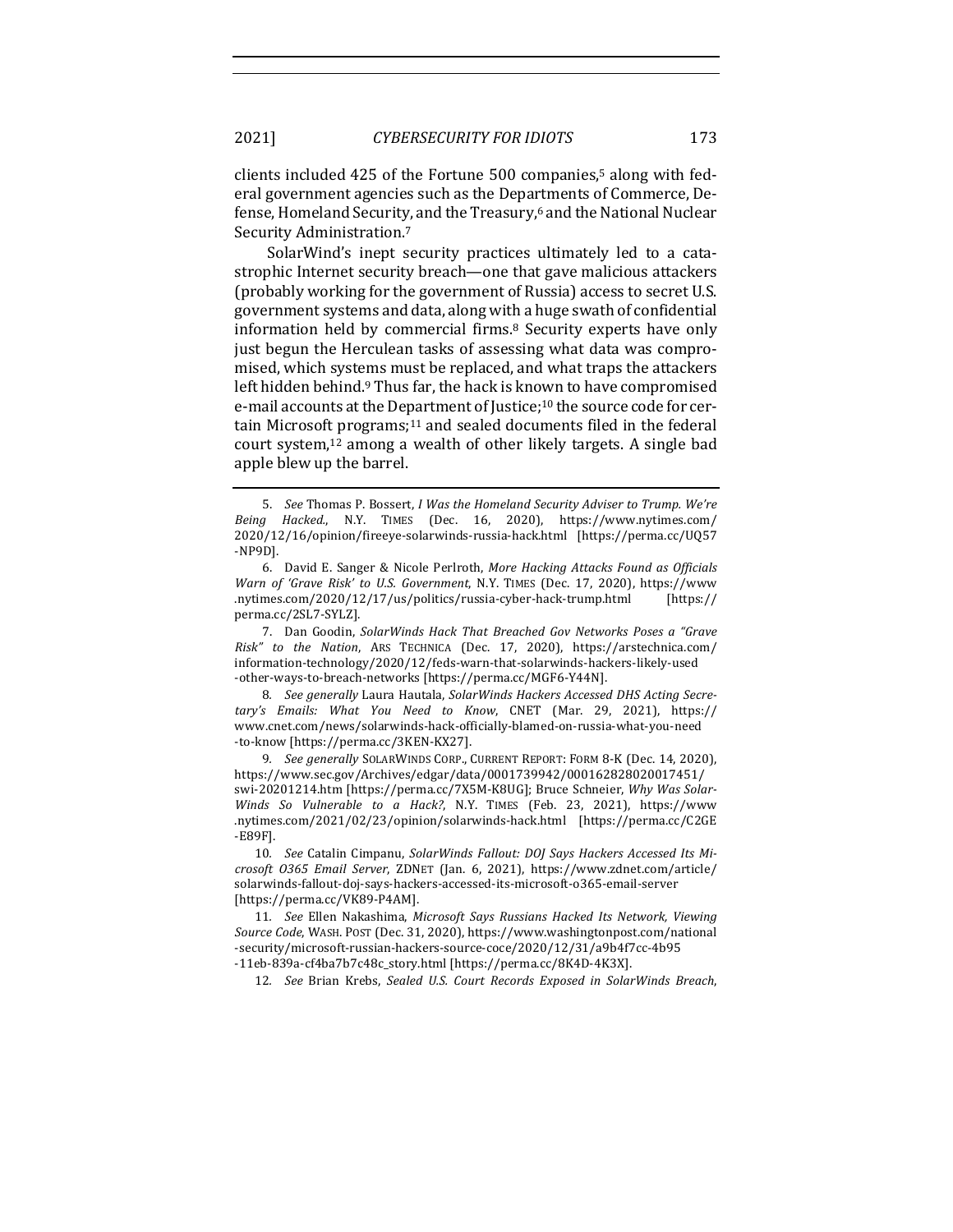clients included  $425$  of the Fortune  $500$  companies,<sup>5</sup> along with federal government agencies such as the Departments of Commerce, Defense, Homeland Security, and the Treasury,<sup>6</sup> and the National Nuclear Security Administration.<sup>7</sup>

SolarWind's inept security practices ultimately led to a catastrophic Internet security breach—one that gave malicious attackers (probably working for the government of Russia) access to secret U.S. government systems and data, along with a huge swath of confidential information held by commercial firms.<sup>8</sup> Security experts have only just begun the Herculean tasks of assessing what data was compromised, which systems must be replaced, and what traps the attackers left hidden behind.<sup>9</sup> Thus far, the hack is known to have compromised e-mail accounts at the Department of Justice;<sup>10</sup> the source code for certain Microsoft programs;<sup>11</sup> and sealed documents filed in the federal court system,<sup>12</sup> among a wealth of other likely targets. A single bad apple blew up the barrel.

7. Dan Goodin, SolarWinds Hack That Breached Gov Networks Poses a "Grave *Risk" to the Nation*, ARS TECHNICA (Dec. 17, 2020), https://arstechnica.com/ information-technology/2020/12/feds-warn-that-solarwinds-hackers-likely-used -other-ways-to-breach-networks [https://perma.cc/MGF6-Y44N].

8. See generally Laura Hautala, SolarWinds Hackers Accessed DHS Acting Secre*tary's Emails: What You Need to Know*, CNET (Mar. 29, 2021), https:// www.cnet.com/news/solarwinds-hack-officially-blamed-on-russia-what-you-need -to-know [https://perma.cc/3KEN-KX27].

9. *See generally* SOLARWINDS CORP., CURRENT REPORT: FORM 8-K (Dec. 14, 2020), https://www.sec.gov/Archives/edgar/data/0001739942/000162828020017451/ swi-20201214.htm [https://perma.cc/7X5M-K8UG]; Bruce Schneier, Why Was Solar-*Winds So Vulnerable to a Hack?*, N.Y. TIMES (Feb. 23, 2021), https://www .nytimes.com/2021/02/23/opinion/solarwinds-hack.html [https://perma.cc/C2GE -E89F].

10. See Catalin Cimpanu, SolarWinds Fallout: DOJ Says Hackers Accessed Its Mi*crosoft O365 Email Server*, ZDNET (Jan. 6, 2021), https://www.zdnet.com/article/ solarwinds-fallout-doj-says-hackers-accessed-its-microsoft-o365-email-server [https://perma.cc/VK89-P4AM].

11. *See* Ellen Nakashima, *Microsoft Says Russians Hacked Its Network, Viewing Source Code*, WASH. POST (Dec. 31, 2020), https://www.washingtonpost.com/national -security/microsoft-russian-hackers-source-coce/2020/12/31/a9b4f7cc-4b95 -11eb-839a-cf4ba7b7c48c\_story.html [https://perma.cc/8K4D-4K3X].

12. *See* Brian Krebs, *Sealed U.S. Court Records Exposed in SolarWinds Breach*,

<sup>5.</sup> See Thomas P. Bossert, *I Was the Homeland Security Adviser to Trump. We're Being Hacked.*, N.Y. TIMES (Dec. 16, 2020), https://www.nytimes.com/ 2020/12/16/opinion/fireeye-solarwinds-russia-hack.html [https://perma.cc/UQ57 -NP9D].

<sup>6.</sup> David E. Sanger & Nicole Perlroth, More Hacking Attacks Found as Officials *Warn of 'Grave Risk' to U.S. Government*, N.Y. TIMES (Dec. 17, 2020), https://www .nytimes.com/2020/12/17/us/politics/russia-cyber-hack-trump.html [https:// perma.cc/2SL7-SYLZ].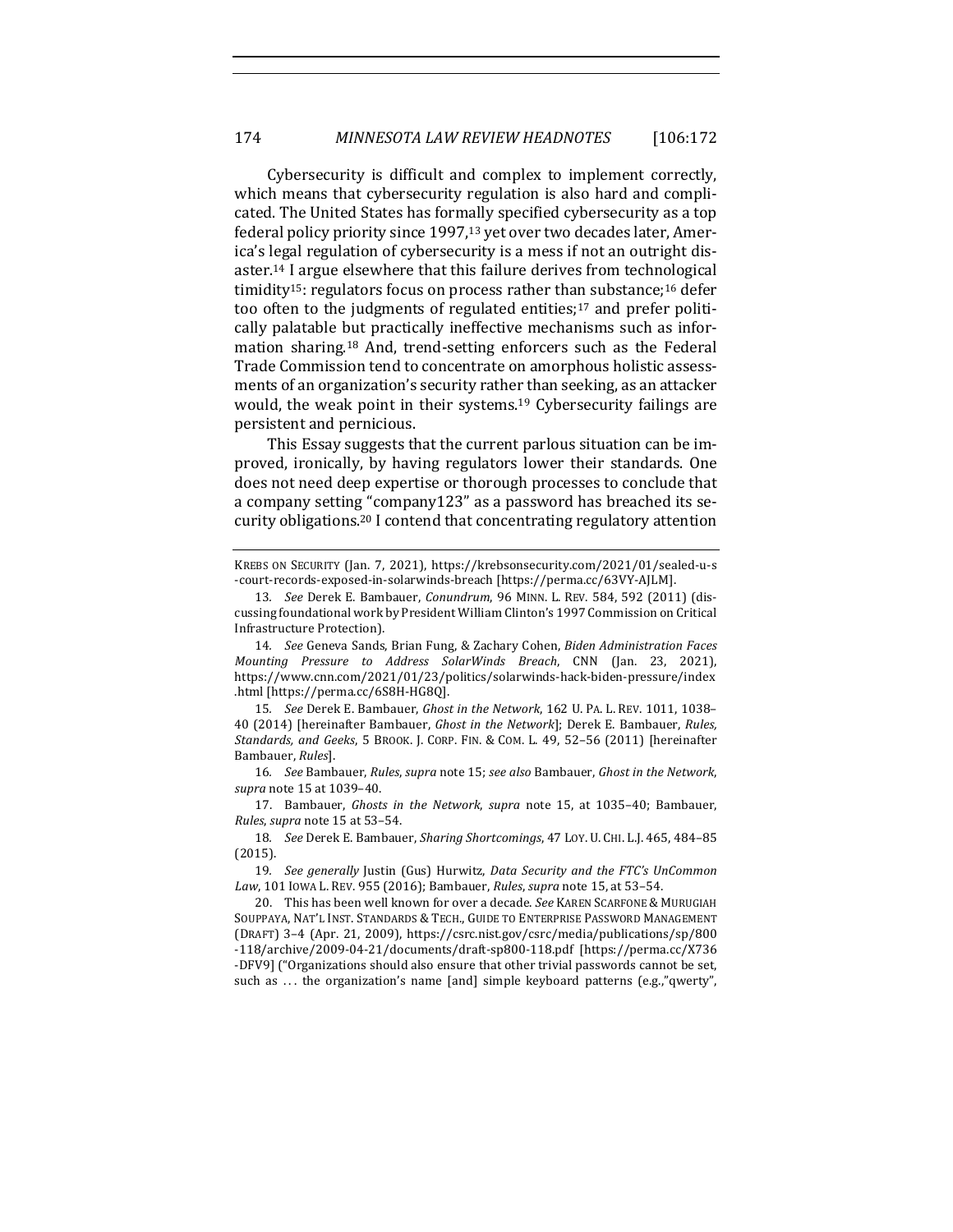Cybersecurity is difficult and complex to implement correctly, which means that cybersecurity regulation is also hard and complicated. The United States has formally specified cybersecurity as a top federal policy priority since  $1997$ ,<sup>13</sup> yet over two decades later, America's legal regulation of cybersecurity is a mess if not an outright disaster.<sup>14</sup> I argue elsewhere that this failure derives from technological timidity<sup>15</sup>: regulators focus on process rather than substance;<sup>16</sup> defer too often to the judgments of regulated entities; $17$  and prefer politically palatable but practically ineffective mechanisms such as information sharing.<sup>18</sup> And, trend-setting enforcers such as the Federal Trade Commission tend to concentrate on amorphous holistic assessments of an organization's security rather than seeking, as an attacker would, the weak point in their systems.<sup>19</sup> Cybersecurity failings are persistent and pernicious.

This Essay suggests that the current parlous situation can be improved, ironically, by having regulators lower their standards. One does not need deep expertise or thorough processes to conclude that a company setting "company123" as a password has breached its security obligations.<sup>20</sup> I contend that concentrating regulatory attention

KREBS ON SECURITY (Jan. 7, 2021), https://krebsonsecurity.com/2021/01/sealed-u-s -court-records-exposed-in-solarwinds-breach [https://perma.cc/63VY-AJLM].

14. *See* Geneva Sands, Brian Fung, & Zachary Cohen, *Biden Administration Faces Mounting Pressure to Address SolarWinds Breach*, CNN (Jan. 23, 2021), https://www.cnn.com/2021/01/23/politics/solarwinds-hack-biden-pressure/index .html [https://perma.cc/6S8H-HG8Q].

15. See Derek E. Bambauer, Ghost in the Network, 162 U. PA. L. REV. 1011, 1038-40 (2014) [hereinafter Bambauer, *Ghost in the Network*]; Derek E. Bambauer, *Rules*, Standards, and Geeks, 5 BROOK. J. CORP. FIN. & COM. L. 49, 52-56 (2011) [hereinafter Bambauer, *Rules*].

16*. See* Bambauer, *Rules*, *supra* note 15; *see also* Bambauer, *Ghost in the Network*, *supra* note 15 at 1039–40.

17. Bambauer, *Ghosts in the Network*, *supra* note 15, at 1035-40; Bambauer, *Rules*, *supra* note 15 at 53-54.

18. See Derek E. Bambauer, *Sharing Shortcomings*, 47 LOY. U. CHI. L.J. 465, 484-85 (2015).

19. *See generally* Justin (Gus) Hurwitz, *Data Security and the FTC's UnCommon* Law, 101 IOWA L. REV. 955 (2016); Bambauer, *Rules*, *supra* note 15, at 53-54.

20. This has been well known for over a decade. See KAREN SCARFONE & MURUGIAH SOUPPAYA, NAT'L INST. STANDARDS & TECH., GUIDE TO ENTERPRISE PASSWORD MANAGEMENT (DRAFT) 3–4 (Apr. 21, 2009), https://csrc.nist.gov/csrc/media/publications/sp/800 -118/archive/2009-04-21/documents/draft-sp800-118.pdf [https://perma.cc/X736 -DFV9] ("Organizations should also ensure that other trivial passwords cannot be set, such as ... the organization's name [and] simple keyboard patterns  $(e.g., 'qwerty'')$ ,

<sup>13.</sup> *See* Derek E. Bambauer, *Conundrum*, 96 MINN. L. REV. 584, 592 (2011) (discussing foundational work by President William Clinton's 1997 Commission on Critical Infrastructure Protection).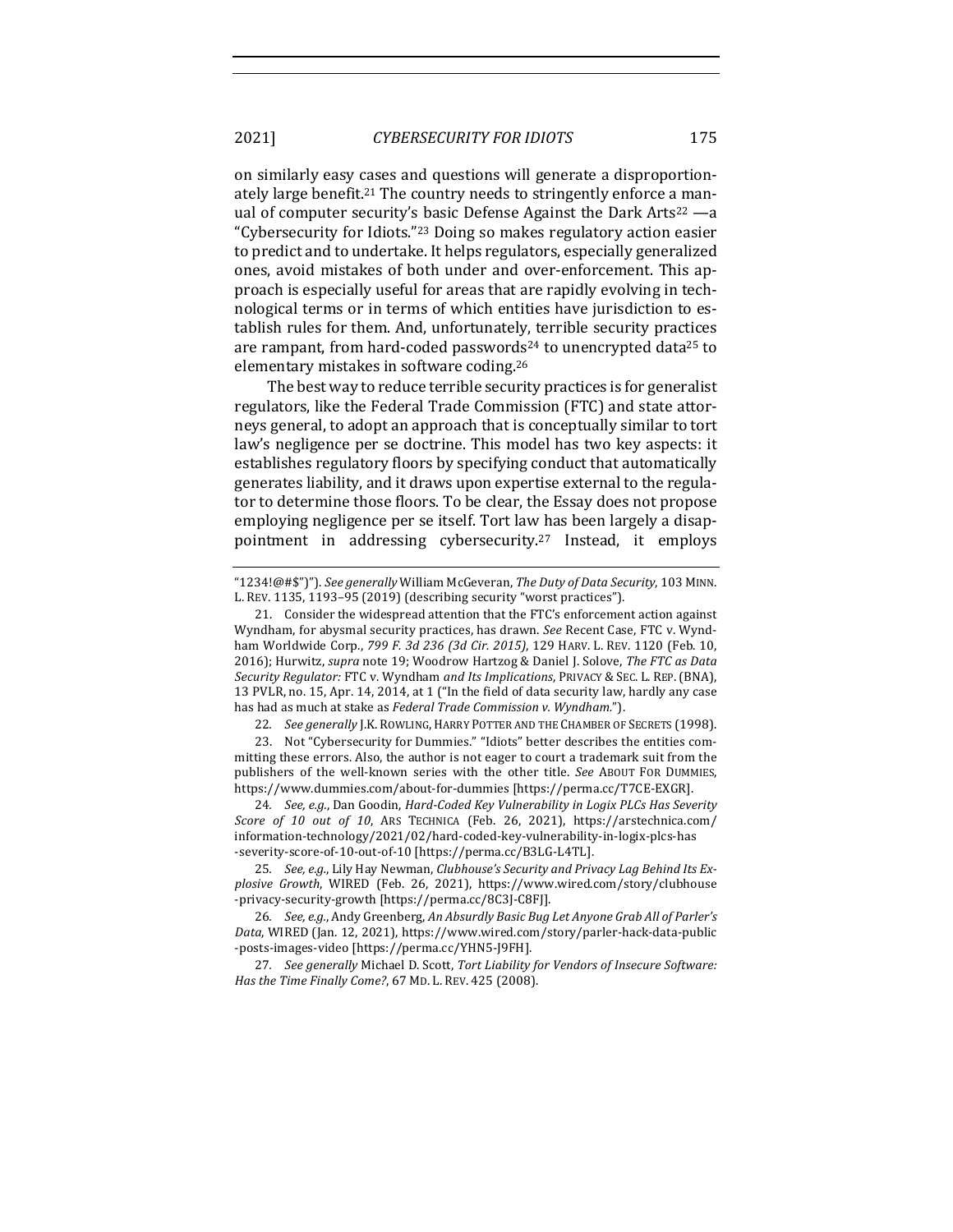on similarly easy cases and questions will generate a disproportionately large benefit.<sup>21</sup> The country needs to stringently enforce a manual of computer security's basic Defense Against the Dark Arts<sup>22</sup> —a "Cybersecurity for Idiots."<sup>23</sup> Doing so makes regulatory action easier to predict and to undertake. It helps regulators, especially generalized ones, avoid mistakes of both under and over-enforcement. This approach is especially useful for areas that are rapidly evolving in technological terms or in terms of which entities have jurisdiction to establish rules for them. And, unfortunately, terrible security practices are rampant, from hard-coded passwords<sup>24</sup> to unencrypted data<sup>25</sup> to elementary mistakes in software coding.<sup>26</sup>

The best way to reduce terrible security practices is for generalist regulators, like the Federal Trade Commission (FTC) and state attorneys general, to adopt an approach that is conceptually similar to tort law's negligence per se doctrine. This model has two key aspects: it establishes regulatory floors by specifying conduct that automatically generates liability, and it draws upon expertise external to the regulator to determine those floors. To be clear, the Essay does not propose employing negligence per se itself. Tort law has been largely a disappointment in addressing cybersecurity.<sup>27</sup> Instead, it employs

23. Not "Cybersecurity for Dummies." "Idiots" better describes the entities committing these errors. Also, the author is not eager to court a trademark suit from the publishers of the well-known series with the other title. See ABOUT FOR DUMMIES, https://www.dummies.com/about-for-dummies [https://perma.cc/T7CE-EXGR].

24. *See, e.g.*, Dan Goodin, *Hard-Coded Key Vulnerability in Logix PLCs Has Severity Score of 10 out of 10*, ARS TECHNICA (Feb. 26, 2021), https://arstechnica.com/ information-technology/2021/02/hard-coded-key-vulnerability-in-logix-plcs-has -severity-score-of-10-out-of-10 [https://perma.cc/B3LG-L4TL].

25. See, e.g., Lily Hay Newman, Clubhouse's Security and Privacy Lag Behind Its Ex*plosive Growth*, WIRED (Feb. 26, 2021), https://www.wired.com/story/clubhouse -privacy-security-growth [https://perma.cc/8C3J-C8FJ].

26. *See, e.g.*, Andy Greenberg, An Absurdly Basic Bug Let Anyone Grab All of Parler's Data, WIRED (Jan. 12, 2021), https://www.wired.com/story/parler-hack-data-public -posts-images-video [https://perma.cc/YHN5-J9FH].

27. See generally Michael D. Scott, Tort Liability for Vendors of Insecure Software: *Has the Time Finally Come?*, 67 MD. L. REV. 425 (2008).

<sup>&</sup>quot;1234!@#\$")"). See generally William McGeveran, The Duty of Data Security, 103 MINN. L. REV. 1135, 1193-95 (2019) (describing security "worst practices").

<sup>21.</sup> Consider the widespread attention that the FTC's enforcement action against Wyndham, for abysmal security practices, has drawn. See Recent Case, FTC v. Wyndham Worldwide Corp., 799 F. 3d 236 (3d Cir. 2015), 129 HARV. L. REV. 1120 (Feb. 10, 2016); Hurwitz, *supra* note 19; Woodrow Hartzog & Daniel J. Solove, The FTC as Data *Security Regulator:* FTC v. Wyndham *and Its Implications*, PRIVACY & SEC. L. REP. (BNA), 13 PVLR, no. 15, Apr. 14, 2014, at 1 ("In the field of data security law, hardly any case has had as much at stake as *Federal Trade Commission v. Wyndham.*").

<sup>22.</sup> *See generally* J.K. ROWLING, HARRY POTTER AND THE CHAMBER OF SECRETS (1998).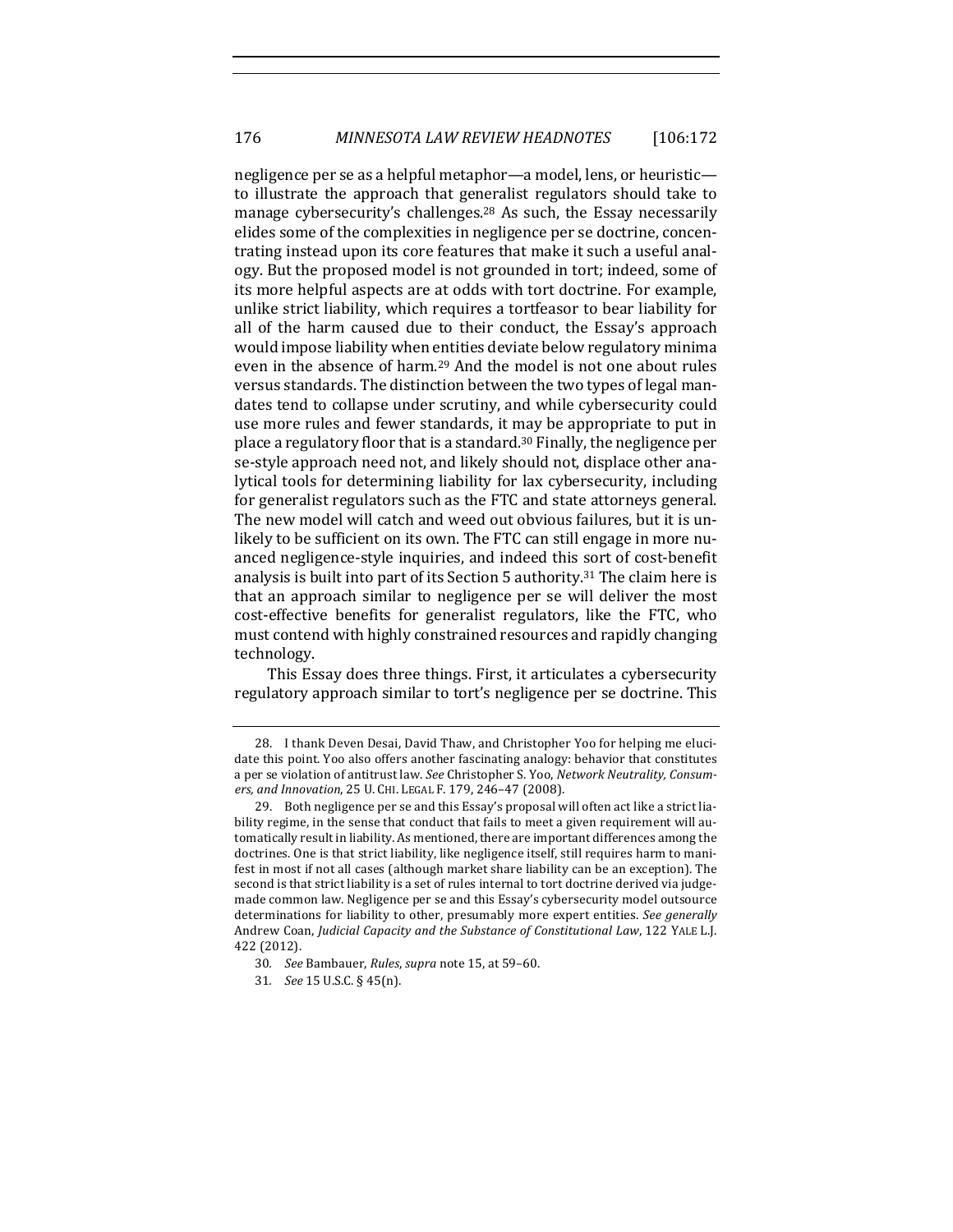negligence per se as a helpful metaphor—a model, lens, or heuristic to illustrate the approach that generalist regulators should take to manage cybersecurity's challenges.<sup>28</sup> As such, the Essay necessarily elides some of the complexities in negligence per se doctrine, concentrating instead upon its core features that make it such a useful analogy. But the proposed model is not grounded in tort; indeed, some of its more helpful aspects are at odds with tort doctrine. For example, unlike strict liability, which requires a tortfeasor to bear liability for all of the harm caused due to their conduct, the Essay's approach would impose liability when entities deviate below regulatory minima even in the absence of harm.<sup>29</sup> And the model is not one about rules versus standards. The distinction between the two types of legal mandates tend to collapse under scrutiny, and while cybersecurity could use more rules and fewer standards, it may be appropriate to put in place a regulatory floor that is a standard.<sup>30</sup> Finally, the negligence per se-style approach need not, and likely should not, displace other analytical tools for determining liability for lax cybersecurity, including for generalist regulators such as the FTC and state attorneys general. The new model will catch and weed out obvious failures, but it is unlikely to be sufficient on its own. The FTC can still engage in more nuanced negligence-style inquiries, and indeed this sort of cost-benefit analysis is built into part of its Section 5 authority.<sup>31</sup> The claim here is that an approach similar to negligence per se will deliver the most cost-effective benefits for generalist regulators, like the FTC, who must contend with highly constrained resources and rapidly changing technology.

This Essay does three things. First, it articulates a cybersecurity regulatory approach similar to tort's negligence per se doctrine. This

<sup>28.</sup> I thank Deven Desai, David Thaw, and Christopher Yoo for helping me elucidate this point. Yoo also offers another fascinating analogy: behavior that constitutes a per se violation of antitrust law. See Christopher S. Yoo, *Network Neutrality, Consum*ers, and Innovation, 25 U. CHI. LEGAL F. 179, 246-47 (2008).

<sup>29.</sup> Both negligence per se and this Essay's proposal will often act like a strict liability regime, in the sense that conduct that fails to meet a given requirement will automatically result in liability. As mentioned, there are important differences among the doctrines. One is that strict liability, like negligence itself, still requires harm to manifest in most if not all cases (although market share liability can be an exception). The second is that strict liability is a set of rules internal to tort doctrine derived via judgemade common law. Negligence per se and this Essay's cybersecurity model outsource determinations for liability to other, presumably more expert entities. See generally Andrew Coan, *Judicial Capacity and the Substance of Constitutional Law*, 122 YALE L.J. 422 (2012).

<sup>30.</sup> *See* Bambauer, *Rules*, *supra* note 15, at 59-60.

<sup>31</sup>*. See* 15 U.S.C. § 45(n).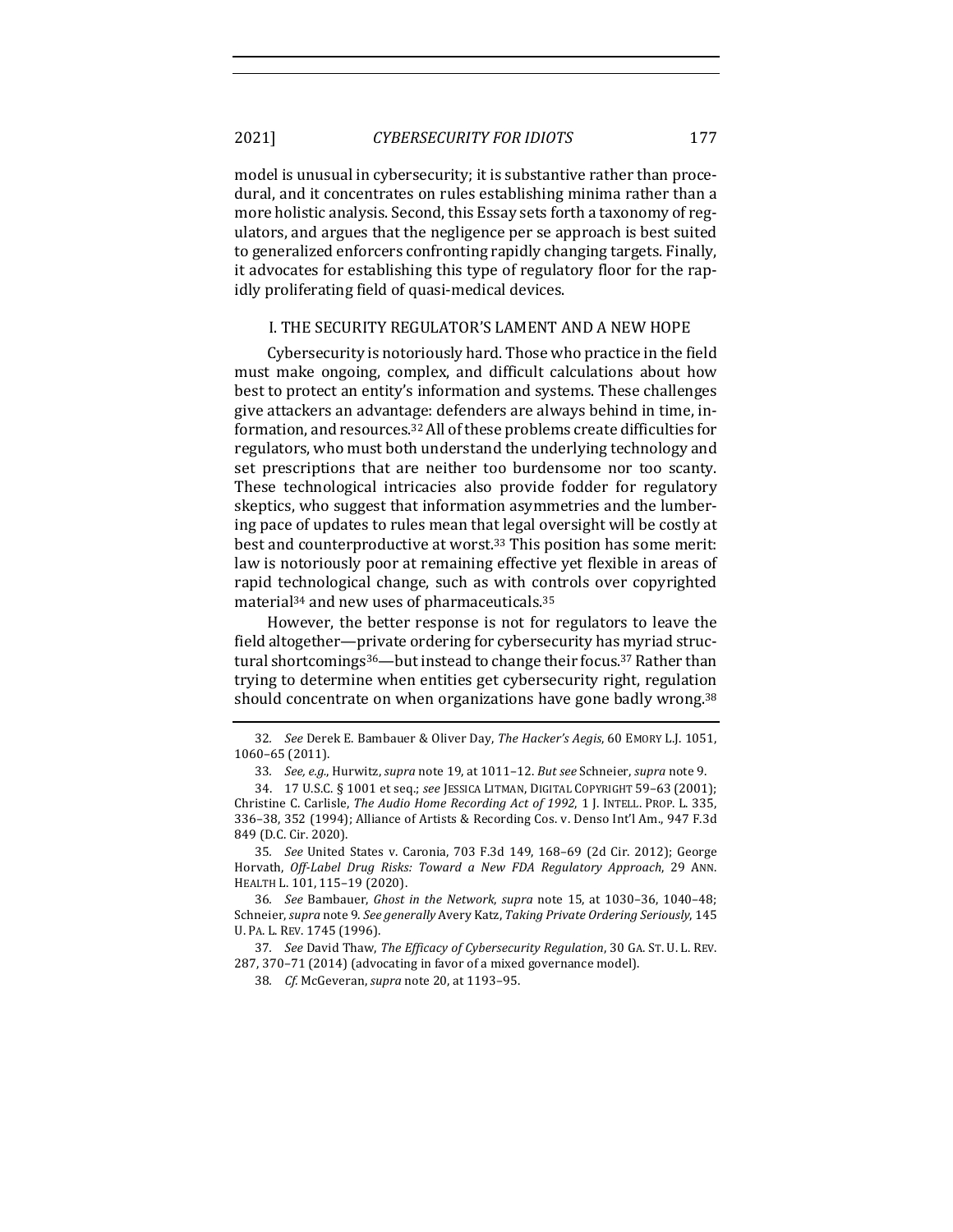model is unusual in cybersecurity; it is substantive rather than procedural, and it concentrates on rules establishing minima rather than a more holistic analysis. Second, this Essay sets forth a taxonomy of regulators, and argues that the negligence per se approach is best suited to generalized enforcers confronting rapidly changing targets. Finally, it advocates for establishing this type of regulatory floor for the rapidly proliferating field of quasi-medical devices.

### I. THE SECURITY REGULATOR'S LAMENT AND A NEW HOPE

Cybersecurity is notoriously hard. Those who practice in the field must make ongoing, complex, and difficult calculations about how best to protect an entity's information and systems. These challenges give attackers an advantage: defenders are always behind in time, information, and resources.<sup>32</sup> All of these problems create difficulties for regulators, who must both understand the underlying technology and set prescriptions that are neither too burdensome nor too scanty. These technological intricacies also provide fodder for regulatory skeptics, who suggest that information asymmetries and the lumbering pace of updates to rules mean that legal oversight will be costly at best and counterproductive at worst.<sup>33</sup> This position has some merit: law is notoriously poor at remaining effective yet flexible in areas of rapid technological change, such as with controls over copyrighted material $34$  and new uses of pharmaceuticals. $35$ 

However, the better response is not for regulators to leave the field altogether-private ordering for cybersecurity has myriad structural shortcomings<sup>36</sup>—but instead to change their focus.<sup>37</sup> Rather than trying to determine when entities get cybersecurity right, regulation should concentrate on when organizations have gone badly wrong.<sup>38</sup>

35. *See* United States v. Caronia, 703 F.3d 149, 168-69 (2d Cir. 2012); George Horvath, Off-Label Drug Risks: Toward a New FDA Regulatory Approach, 29 ANN. HEALTH L. 101, 115-19 (2020).

36*. See* Bambauer, *Ghost in the Network*, *supra* note 15, at 1030–36, 1040–48; Schneier, *supra* note 9. See generally Avery Katz, Taking Private Ordering Seriously, 145 U. PA. L. REV. 1745 (1996).

37. *See* David Thaw, The Efficacy of Cybersecurity Regulation, 30 GA. ST. U. L. REV. 287, 370-71 (2014) (advocating in favor of a mixed governance model).

38. *Cf.* McGeveran, *supra* note 20, at 1193-95.

<sup>32</sup>*. See* Derek E. Bambauer & Oliver Day, *The Hacker's Aegis*, 60 EMORY L.J. 1051, 1060–65 (2011).

<sup>33.</sup> See, e.g., Hurwitz, supra note 19, at 1011-12. But see Schneier, supra note 9.

<sup>34.</sup> 17 U.S.C. § 1001 et seq.; *see* JESSICA LITMAN, DIGITAL COPYRIGHT 59–63 (2001); Christine C. Carlisle, *The Audio Home Recording Act of 1992*, 1 J. INTELL. PROP. L. 335, 336-38, 352 (1994); Alliance of Artists & Recording Cos. v. Denso Int'l Am., 947 F.3d 849 (D.C. Cir. 2020).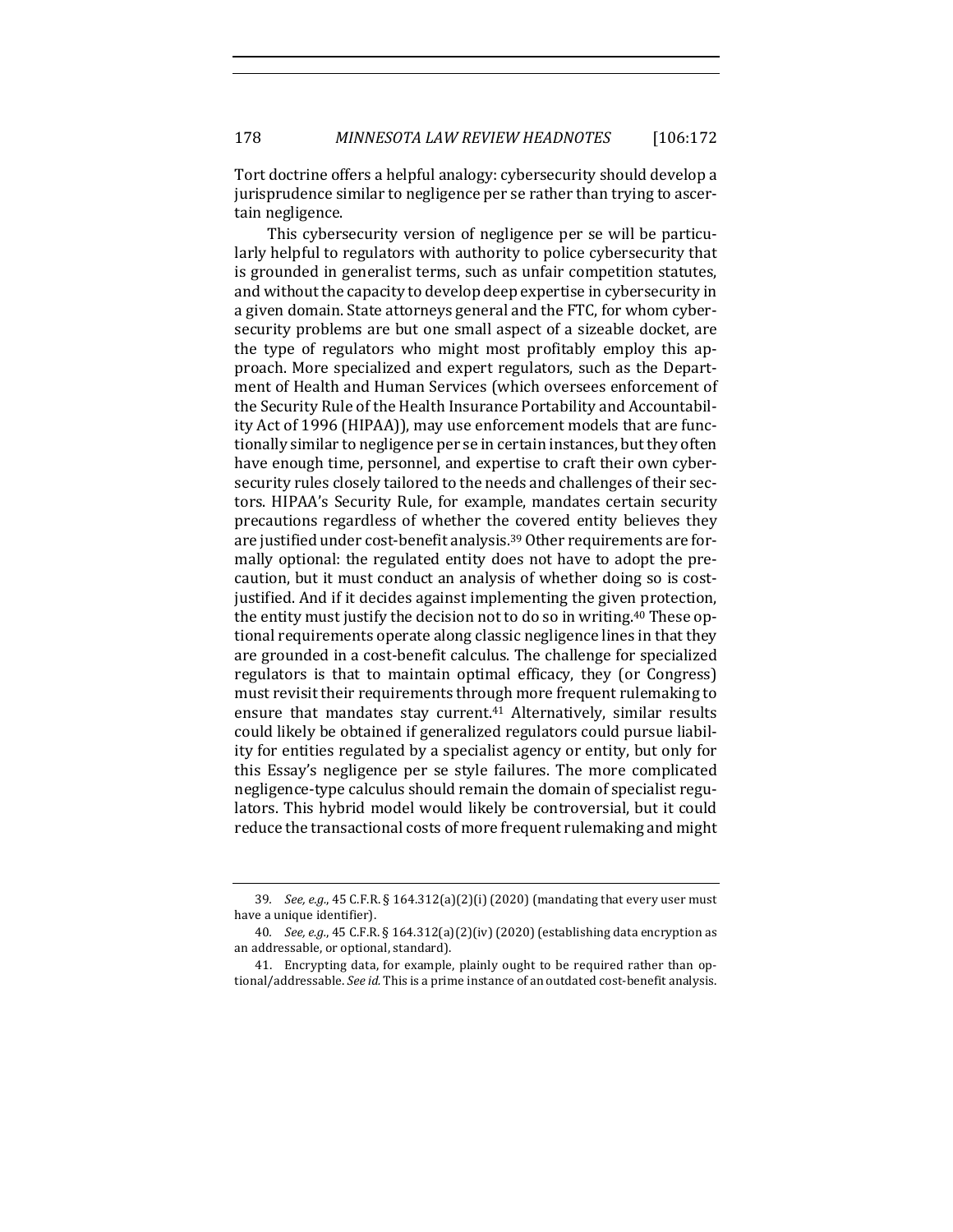Tort doctrine offers a helpful analogy: cybersecurity should develop a jurisprudence similar to negligence per se rather than trying to ascertain negligence.

This cybersecurity version of negligence per se will be particularly helpful to regulators with authority to police cybersecurity that is grounded in generalist terms, such as unfair competition statutes, and without the capacity to develop deep expertise in cybersecurity in a given domain. State attorneys general and the FTC, for whom cybersecurity problems are but one small aspect of a sizeable docket, are the type of regulators who might most profitably employ this approach. More specialized and expert regulators, such as the Department of Health and Human Services (which oversees enforcement of the Security Rule of the Health Insurance Portability and Accountability Act of 1996 (HIPAA)), may use enforcement models that are functionally similar to negligence per se in certain instances, but they often have enough time, personnel, and expertise to craft their own cybersecurity rules closely tailored to the needs and challenges of their sectors. HIPAA's Security Rule, for example, mandates certain security precautions regardless of whether the covered entity believes they are justified under cost-benefit analysis.<sup>39</sup> Other requirements are formally optional: the regulated entity does not have to adopt the precaution, but it must conduct an analysis of whether doing so is costjustified. And if it decides against implementing the given protection, the entity must justify the decision not to do so in writing.<sup>40</sup> These optional requirements operate along classic negligence lines in that they are grounded in a cost-benefit calculus. The challenge for specialized regulators is that to maintain optimal efficacy, they (or Congress) must revisit their requirements through more frequent rulemaking to ensure that mandates stay current.<sup>41</sup> Alternatively, similar results could likely be obtained if generalized regulators could pursue liability for entities regulated by a specialist agency or entity, but only for this Essay's negligence per se style failures. The more complicated negligence-type calculus should remain the domain of specialist regulators. This hybrid model would likely be controversial, but it could reduce the transactional costs of more frequent rulemaking and might

<sup>39.</sup> *See, e.g.*, 45 C.F.R. § 164.312(a)(2)(i) (2020) (mandating that every user must have a unique identifier).

<sup>40.</sup> *See, e.g.*, 45 C.F.R. § 164.312(a)(2)(iv) (2020) (establishing data encryption as an addressable, or optional, standard).

<sup>41.</sup> Encrypting data, for example, plainly ought to be required rather than optional/addressable. See id. This is a prime instance of an outdated cost-benefit analysis.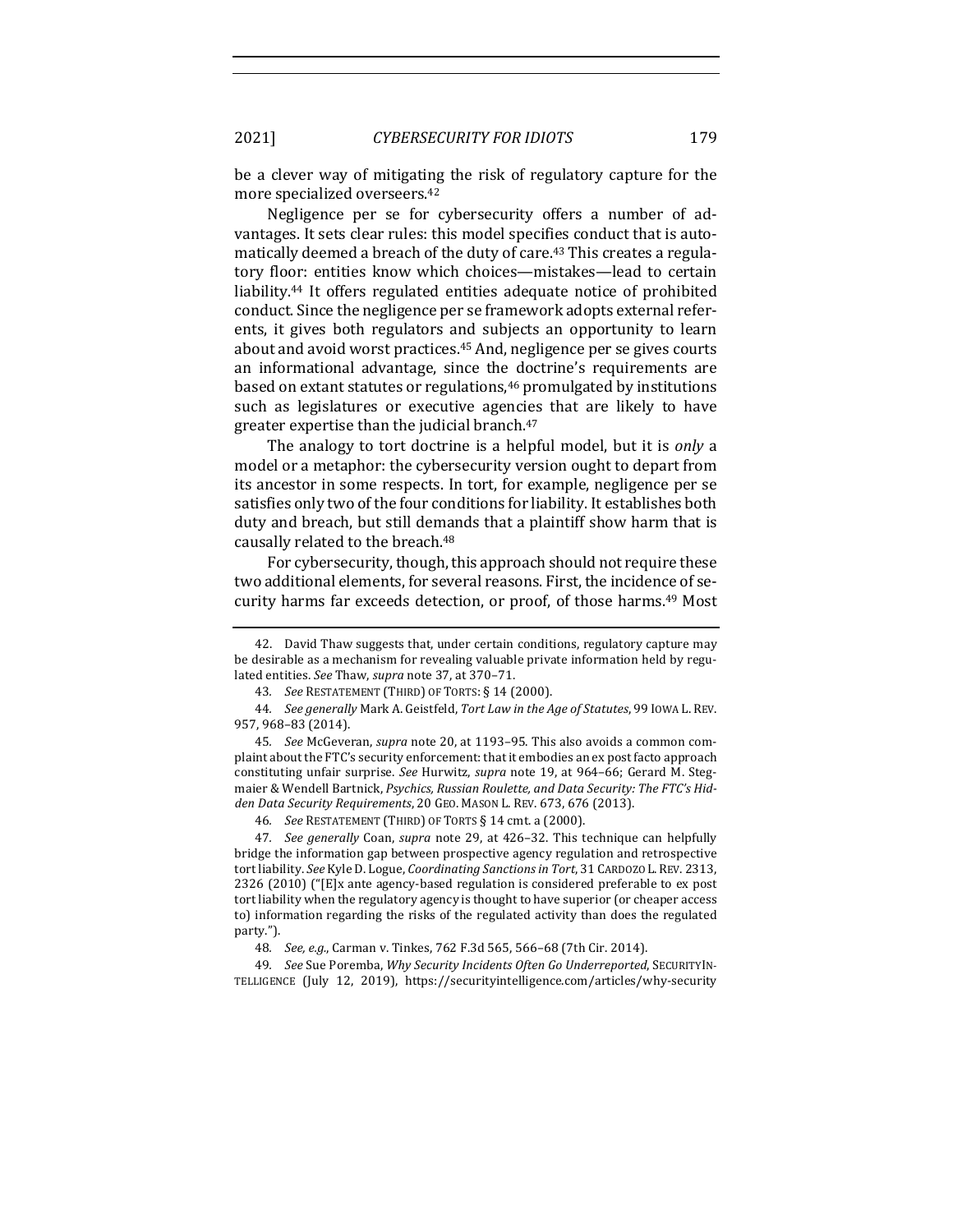be a clever way of mitigating the risk of regulatory capture for the more specialized overseers.<sup>42</sup>

Negligence per se for cybersecurity offers a number of advantages. It sets clear rules: this model specifies conduct that is automatically deemed a breach of the duty of care.<sup>43</sup> This creates a regulatory floor: entities know which choices—mistakes—lead to certain liability.<sup>44</sup> It offers regulated entities adequate notice of prohibited conduct. Since the negligence per se framework adopts external referents, it gives both regulators and subjects an opportunity to learn about and avoid worst practices.<sup>45</sup> And, negligence per se gives courts an informational advantage, since the doctrine's requirements are based on extant statutes or regulations,<sup>46</sup> promulgated by institutions such as legislatures or executive agencies that are likely to have greater expertise than the judicial branch. $47$ 

The analogy to tort doctrine is a helpful model, but it is *only* a model or a metaphor: the cybersecurity version ought to depart from its ancestor in some respects. In tort, for example, negligence per se satisfies only two of the four conditions for liability. It establishes both duty and breach, but still demands that a plaintiff show harm that is causally related to the breach.<sup>48</sup>

For cybersecurity, though, this approach should not require these two additional elements, for several reasons. First, the incidence of security harms far exceeds detection, or proof, of those harms.<sup>49</sup> Most

46. *See* RESTATEMENT (THIRD) OF TORTS § 14 cmt. a (2000).

47. *See generally* Coan, *supra* note 29, at 426-32. This technique can helpfully bridge the information gap between prospective agency regulation and retrospective tort liability. See Kyle D. Logue, *Coordinating Sanctions in Tort*, 31 CARDOZO L. REV. 2313, 2326 (2010) ("[E]x ante agency-based regulation is considered preferable to ex post tort liability when the regulatory agency is thought to have superior (or cheaper access to) information regarding the risks of the regulated activity than does the regulated party.").

49. See Sue Poremba, Why Security Incidents Often Go Underreported, SECURITYIN-TELLIGENCE (July 12, 2019), https://securityintelligence.com/articles/why-security

<sup>42.</sup> David Thaw suggests that, under certain conditions, regulatory capture may be desirable as a mechanism for revealing valuable private information held by regulated entities. See Thaw, supra note 37, at 370-71.

<sup>43.</sup> See RESTATEMENT (THIRD) OF TORTS: § 14 (2000).

<sup>44.</sup> *See generally* Mark A. Geistfeld, Tort Law in the Age of Statutes, 99 IOWA L. REV. 957, 968–83 (2014).

<sup>45.</sup> *See* McGeveran, *supra* note 20, at 1193-95. This also avoids a common complaint about the FTC's security enforcement: that it embodies an ex post facto approach constituting unfair surprise. See Hurwitz, *supra* note 19, at 964–66; Gerard M. Stegmaier & Wendell Bartnick, Psychics, Russian Roulette, and Data Security: The FTC's Hid*den Data Security Requirements*, 20 GEO. MASON L. REV. 673, 676 (2013).

<sup>48.</sup> *See, e.g.*, Carman v. Tinkes, 762 F.3d 565, 566-68 (7th Cir. 2014).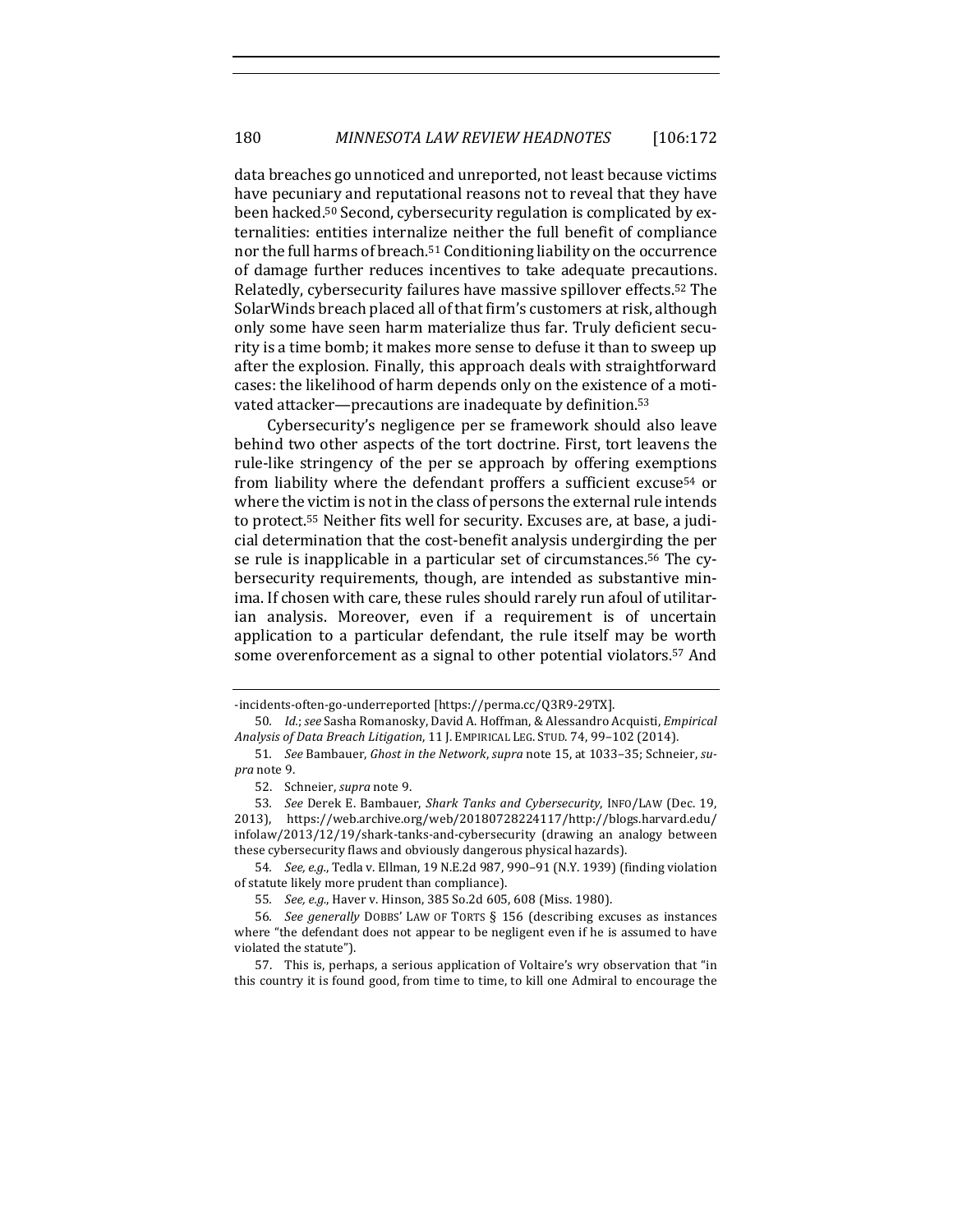data breaches go unnoticed and unreported, not least because victims have pecuniary and reputational reasons not to reveal that they have been hacked.<sup>50</sup> Second, cybersecurity regulation is complicated by externalities: entities internalize neither the full benefit of compliance nor the full harms of breach.<sup>51</sup> Conditioning liability on the occurrence of damage further reduces incentives to take adequate precautions. Relatedly, cybersecurity failures have massive spillover effects.<sup>52</sup> The SolarWinds breach placed all of that firm's customers at risk, although only some have seen harm materialize thus far. Truly deficient security is a time bomb; it makes more sense to defuse it than to sweep up after the explosion. Finally, this approach deals with straightforward cases: the likelihood of harm depends only on the existence of a motivated attacker—precautions are inadequate by definition.<sup>53</sup>

Cybersecurity's negligence per se framework should also leave behind two other aspects of the tort doctrine. First, tort leavens the rule-like stringency of the per se approach by offering exemptions from liability where the defendant proffers a sufficient excuse<sup>54</sup> or where the victim is not in the class of persons the external rule intends to protect.<sup>55</sup> Neither fits well for security. Excuses are, at base, a judicial determination that the cost-benefit analysis undergirding the per se rule is inapplicable in a particular set of circumstances.<sup>56</sup> The cybersecurity requirements, though, are intended as substantive minima. If chosen with care, these rules should rarely run afoul of utilitarian analysis. Moreover, even if a requirement is of uncertain application to a particular defendant, the rule itself may be worth some overenforcement as a signal to other potential violators.<sup>57</sup> And

<sup>-</sup>incidents-often-go-underreported [https://perma.cc/Q3R9-29TX].

<sup>50.</sup> *Id.*; see Sasha Romanosky, David A. Hoffman, & Alessandro Acquisti, *Empirical Analysis of Data Breach Litigation,* 11 J. EMPIRICAL LEG. STUD. 74, 99-102 (2014).

<sup>51.</sup> See Bambauer, Ghost in the Network, supra note 15, at 1033-35; Schneier, su*pra* note 9.

<sup>52.</sup> Schneier, *supra* note 9.

<sup>53</sup>*. See* Derek E. Bambauer, *Shark Tanks and Cybersecurity*, INFO/LAW (Dec. 19, 2013), https://web.archive.org/web/20180728224117/http://blogs.harvard.edu/  $infolaw/2013/12/19/shark-tanks-and-cybersecurity$  (drawing an analogy between these cybersecurity flaws and obviously dangerous physical hazards).

<sup>54.</sup> *See, e.g.*, Tedla v. Ellman, 19 N.E.2d 987, 990-91 (N.Y. 1939) (finding violation of statute likely more prudent than compliance).

<sup>55.</sup> *See, e.g.*, Haver v. Hinson, 385 So.2d 605, 608 (Miss. 1980).

<sup>56</sup>*. See generally* DOBBS' LAW OF TORTS § 156 (describing excuses as instances where "the defendant does not appear to be negligent even if he is assumed to have violated the statute").

<sup>57.</sup> This is, perhaps, a serious application of Voltaire's wry observation that "in this country it is found good, from time to time, to kill one Admiral to encourage the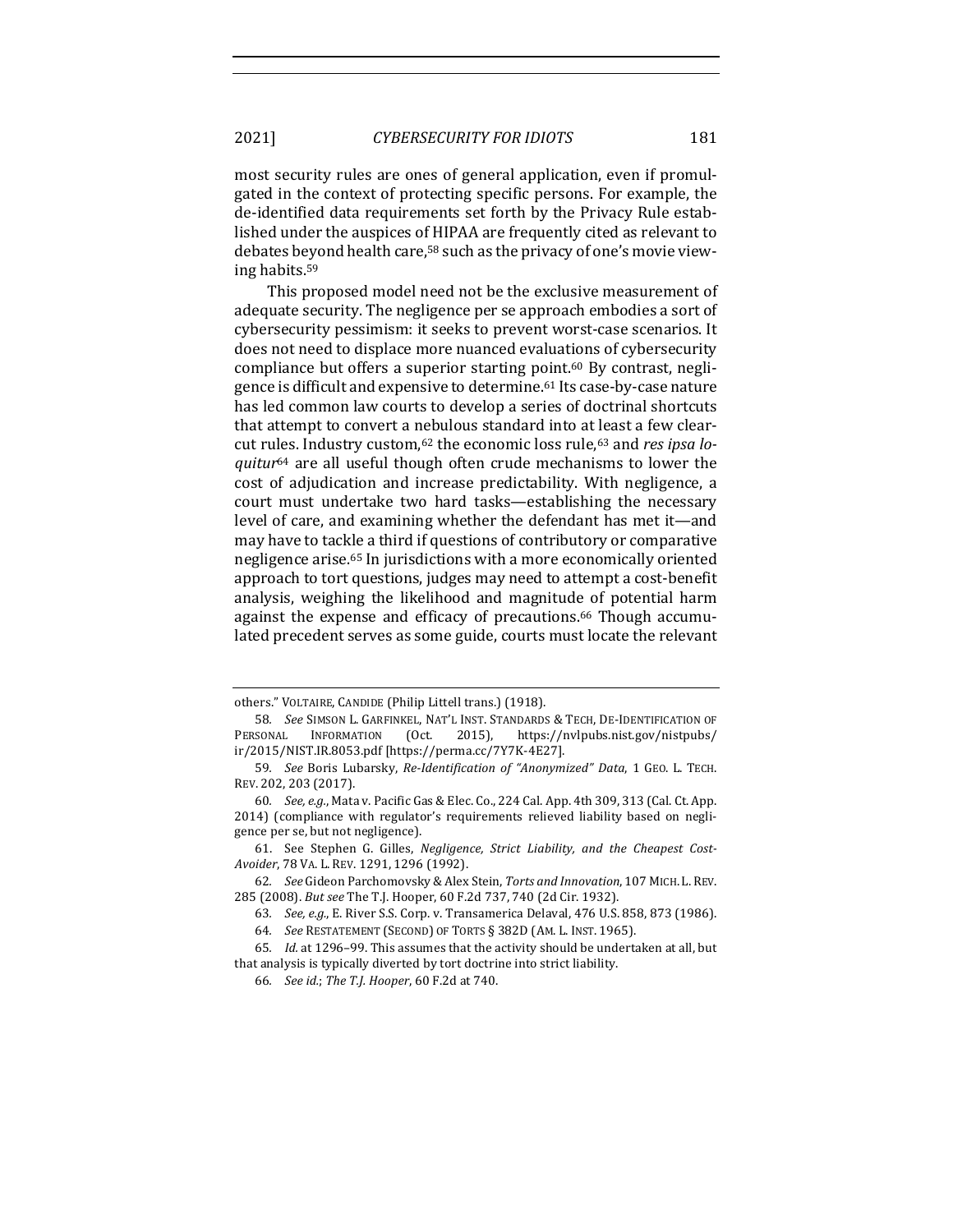most security rules are ones of general application, even if promulgated in the context of protecting specific persons. For example, the de-identified data requirements set forth by the Privacy Rule established under the auspices of HIPAA are frequently cited as relevant to debates beyond health care,<sup>58</sup> such as the privacy of one's movie viewing habits.59

This proposed model need not be the exclusive measurement of adequate security. The negligence per se approach embodies a sort of cybersecurity pessimism: it seeks to prevent worst-case scenarios. It does not need to displace more nuanced evaluations of cybersecurity compliance but offers a superior starting point.<sup>60</sup> By contrast, negligence is difficult and expensive to determine.<sup>61</sup> Its case-by-case nature has led common law courts to develop a series of doctrinal shortcuts that attempt to convert a nebulous standard into at least a few clearcut rules. Industry custom,<sup>62</sup> the economic loss rule,<sup>63</sup> and *res ipsa loquitur*<sup>64</sup> are all useful though often crude mechanisms to lower the cost of adjudication and increase predictability. With negligence, a court must undertake two hard tasks—establishing the necessary level of care, and examining whether the defendant has met it—and may have to tackle a third if questions of contributory or comparative negligence arise.<sup>65</sup> In jurisdictions with a more economically oriented approach to tort questions, judges may need to attempt a cost-benefit analysis, weighing the likelihood and magnitude of potential harm against the expense and efficacy of precautions.<sup>66</sup> Though accumulated precedent serves as some guide, courts must locate the relevant

others." VOLTAIRE, CANDIDE (Philip Littell trans.) (1918).

<sup>58.</sup> *See* SIMSON L. GARFINKEL, NAT'L INST. STANDARDS & TECH, DE-IDENTIFICATION OF PERSONAL INFORMATION (Oct. 2015), https://nvlpubs.nist.gov/nistpubs/ ir/2015/NIST.IR.8053.pdf [https://perma.cc/7Y7K-4E27].

<sup>59</sup>*. See* Boris Lubarsky, *Re-Identification of "Anonymized" Data*, 1 GEO. L. TECH. REV. 202, 203 (2017).

<sup>60.</sup> *See, e.g.*, Mata v. Pacific Gas & Elec. Co., 224 Cal. App. 4th 309, 313 (Cal. Ct. App. 2014) (compliance with regulator's requirements relieved liability based on negligence per se, but not negligence).

<sup>61.</sup> See Stephen G. Gilles, *Negligence, Strict Liability, and the Cheapest Cost-Avoider*, 78 VA. L. REV. 1291, 1296 (1992).

<sup>62.</sup> See Gideon Parchomovsky & Alex Stein, Torts and Innovation, 107 MICH. L. REV. 285 (2008). *But see* The T.J. Hooper, 60 F.2d 737, 740 (2d Cir. 1932).

<sup>63.</sup> *See, e.g.*, E. River S.S. Corp. v. Transamerica Delaval, 476 U.S. 858, 873 (1986).

<sup>64.</sup> See RESTATEMENT (SECOND) OF TORTS § 382D (AM. L. INST. 1965).

<sup>65.</sup> *Id.* at 1296-99. This assumes that the activity should be undertaken at all, but that analysis is typically diverted by tort doctrine into strict liability.

<sup>66</sup>*. See id.*; *The T.J. Hooper*, 60 F.2d at 740.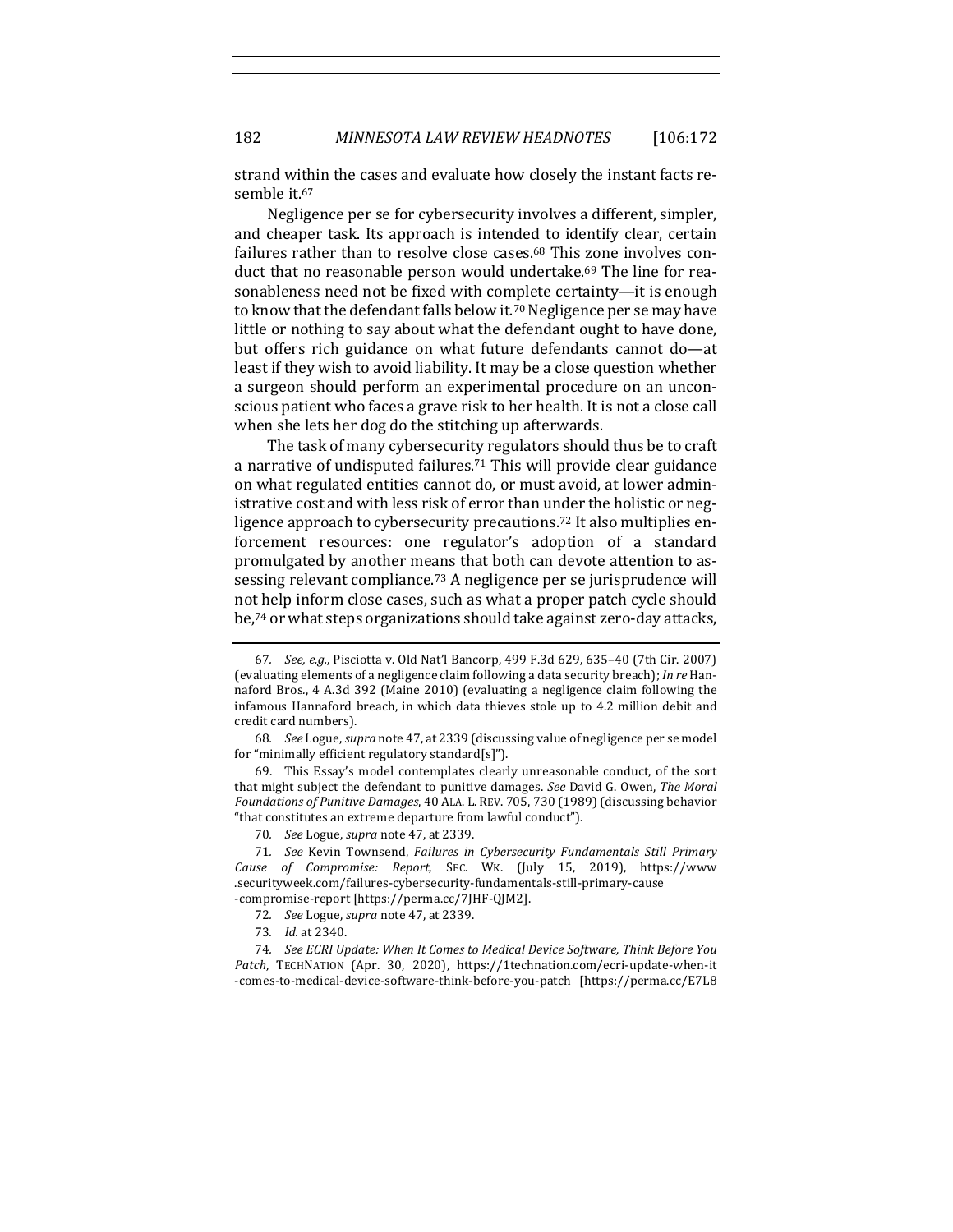# 182 *MINNESOTA LAW REVIEW HEADNOTES* [106:172

strand within the cases and evaluate how closely the instant facts resemble it.<sup>67</sup>

Negligence per se for cybersecurity involves a different, simpler, and cheaper task. Its approach is intended to identify clear, certain failures rather than to resolve close cases. $68$  This zone involves conduct that no reasonable person would undertake.<sup>69</sup> The line for reasonableness need not be fixed with complete certainty—it is enough to know that the defendant falls below it.<sup>70</sup> Negligence per se may have little or nothing to say about what the defendant ought to have done, but offers rich guidance on what future defendants cannot do—at least if they wish to avoid liability. It may be a close question whether a surgeon should perform an experimental procedure on an unconscious patient who faces a grave risk to her health. It is not a close call when she lets her dog do the stitching up afterwards.

The task of many cybersecurity regulators should thus be to craft a narrative of undisputed failures.<sup>71</sup> This will provide clear guidance on what regulated entities cannot do, or must avoid, at lower administrative cost and with less risk of error than under the holistic or negligence approach to cybersecurity precautions.<sup>72</sup> It also multiplies enforcement resources: one regulator's adoption of a standard promulgated by another means that both can devote attention to assessing relevant compliance.<sup>73</sup> A negligence per se jurisprudence will not help inform close cases, such as what a proper patch cycle should be,<sup>74</sup> or what steps organizations should take against zero-day attacks,

- 73*. Id.* at 2340.
- 

<sup>67.</sup> *See, e.g.*, Pisciotta v. Old Nat'l Bancorp, 499 F.3d 629, 635-40 (7th Cir. 2007) (evaluating elements of a negligence claim following a data security breach); In re Hannaford Bros., 4 A.3d 392 (Maine 2010) (evaluating a negligence claim following the infamous Hannaford breach, in which data thieves stole up to 4.2 million debit and credit card numbers).

<sup>68.</sup> *See* Logue, *supra* note 47, at 2339 (discussing value of negligence per se model for "minimally efficient regulatory standard[s]").

<sup>69.</sup> This Essay's model contemplates clearly unreasonable conduct, of the sort that might subject the defendant to punitive damages. See David G. Owen, The Moral Foundations of Punitive Damages, 40 ALA. L. REV. 705, 730 (1989) (discussing behavior "that constitutes an extreme departure from lawful conduct").

<sup>70.</sup> *See* Logue, *supra* note 47, at 2339.

<sup>71.</sup> See Kevin Townsend, Failures in Cybersecurity Fundamentals Still Primary *Cause of Compromise: Report*, SEC. WK. (July 15, 2019), https://www .securityweek.com/failures-cybersecurity-fundamentals-still-primary-cause

<sup>-</sup>compromise-report [https://perma.cc/7JHF-QJM2]. 72. *See* Logue, *supra* note 47, at 2339.

<sup>74.</sup> See ECRI Update: When It Comes to Medical Device Software, Think Before You Patch, TECHNATION (Apr. 30, 2020), https://1technation.com/ecri-update-when-it -comes-to-medical-device-software-think-before-you-patch [https://perma.cc/E7L8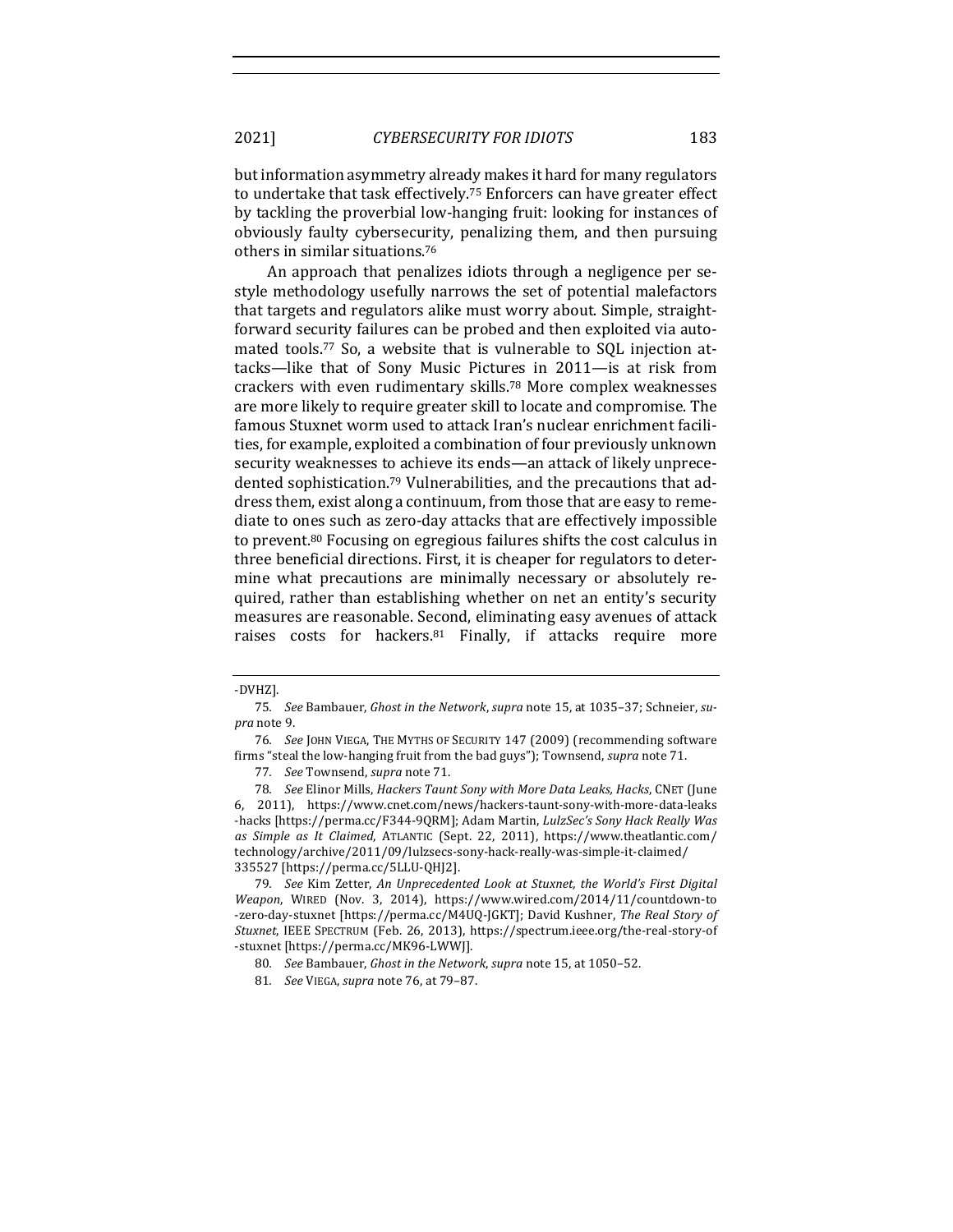but information asymmetry already makes it hard for many regulators to undertake that task effectively.<sup>75</sup> Enforcers can have greater effect by tackling the proverbial low-hanging fruit: looking for instances of obviously faulty cybersecurity, penalizing them, and then pursuing others in similar situations.<sup>76</sup>

An approach that penalizes idiots through a negligence per sestyle methodology usefully narrows the set of potential malefactors that targets and regulators alike must worry about. Simple, straightforward security failures can be probed and then exploited via automated tools.<sup>77</sup> So, a website that is vulnerable to SQL injection attacks—like that of Sony Music Pictures in 2011—is at risk from crackers with even rudimentary skills.<sup>78</sup> More complex weaknesses are more likely to require greater skill to locate and compromise. The famous Stuxnet worm used to attack Iran's nuclear enrichment facilities, for example, exploited a combination of four previously unknown security weaknesses to achieve its ends—an attack of likely unprecedented sophistication.<sup>79</sup> Vulnerabilities, and the precautions that address them, exist along a continuum, from those that are easy to remediate to ones such as zero-day attacks that are effectively impossible to prevent.<sup>80</sup> Focusing on egregious failures shifts the cost calculus in three beneficial directions. First, it is cheaper for regulators to determine what precautions are minimally necessary or absolutely required, rather than establishing whether on net an entity's security measures are reasonable. Second, eliminating easy avenues of attack raises costs for hackers.<sup>81</sup> Finally, if attacks require more

<sup>-</sup>DVHZ].

<sup>75.</sup> See Bambauer, Ghost in the Network, supra note 15, at 1035-37; Schneier, su*pra* note 9.

<sup>76</sup>*. See* JOHN VIEGA, THE MYTHS OF SECURITY 147 (2009) (recommending software firms "steal the low-hanging fruit from the bad guys"); Townsend, *supra* note 71.

<sup>77.</sup> *See* Townsend, *supra* note 71.

<sup>78.</sup> See Elinor Mills, *Hackers Taunt Sony with More Data Leaks, Hacks*, CNET (June 6, 2011), https://www.cnet.com/news/hackers-taunt-sony-with-more-data-leaks -hacks [https://perma.cc/F344-9QRM]; Adam Martin, *LulzSec's Sony Hack Really Was as Simple as It Claimed*, ATLANTIC (Sept. 22, 2011), https://www.theatlantic.com/ technology/archive/2011/09/lulzsecs-sony-hack-really-was-simple-it-claimed/ 335527 [https://perma.cc/5LLU-QHJ2].

<sup>79.</sup> See Kim Zetter, An Unprecedented Look at Stuxnet, the World's First Digital *Weapon*, WIRED (Nov. 3, 2014), https://www.wired.com/2014/11/countdown-to -zero-day-stuxnet [https://perma.cc/M4UQ-JGKT]; David Kushner, The Real Story of *Stuxnet*, IEEE SPECTRUM (Feb. 26, 2013), https://spectrum.ieee.org/the-real-story-of -stuxnet [https://perma.cc/MK96-LWWJ].

<sup>80.</sup> *See* Bambauer, *Ghost in the Network*, *supra* note 15, at 1050-52.

<sup>81.</sup> *See* VIEGA, *supra* note 76, at 79-87.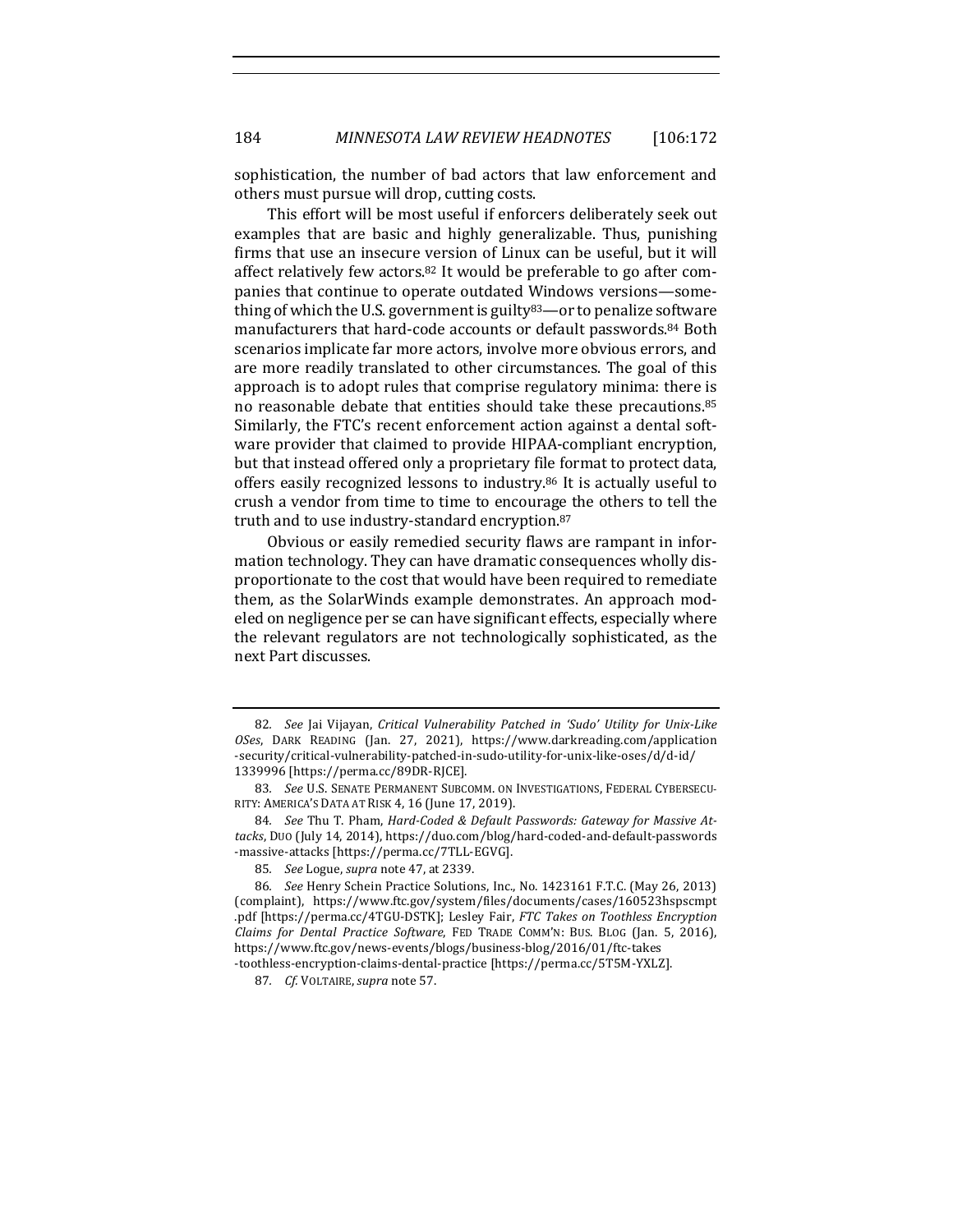sophistication, the number of bad actors that law enforcement and others must pursue will drop, cutting costs.

This effort will be most useful if enforcers deliberately seek out examples that are basic and highly generalizable. Thus, punishing firms that use an insecure version of Linux can be useful, but it will affect relatively few actors.<sup>82</sup> It would be preferable to go after companies that continue to operate outdated Windows versions-something of which the U.S. government is guilty<sup>83</sup>—or to penalize software manufacturers that hard-code accounts or default passwords.<sup>84</sup> Both scenarios implicate far more actors, involve more obvious errors, and are more readily translated to other circumstances. The goal of this approach is to adopt rules that comprise regulatory minima: there is no reasonable debate that entities should take these precautions.<sup>85</sup> Similarly, the FTC's recent enforcement action against a dental software provider that claimed to provide HIPAA-compliant encryption, but that instead offered only a proprietary file format to protect data, offers easily recognized lessons to industry.<sup>86</sup> It is actually useful to crush a vendor from time to time to encourage the others to tell the truth and to use industry-standard encryption.<sup>87</sup>

Obvious or easily remedied security flaws are rampant in information technology. They can have dramatic consequences wholly disproportionate to the cost that would have been required to remediate them, as the SolarWinds example demonstrates. An approach modeled on negligence per se can have significant effects, especially where the relevant regulators are not technologically sophisticated, as the next Part discusses.

<sup>82.</sup> *See* Jai Vijayan, Critical Vulnerability Patched in 'Sudo' Utility for Unix-Like *OSes*, DARK READING (Jan. 27, 2021), https://www.darkreading.com/application -security/critical-vulnerability-patched-in-sudo-utility-for-unix-like-oses/d/d-id/ 1339996 [https://perma.cc/89DR-RJCE].

<sup>83.</sup> See U.S. SENATE PERMANENT SUBCOMM. ON INVESTIGATIONS, FEDERAL CYBERSECU-RITY: AMERICA'S DATA AT RISK 4, 16 (June 17, 2019).

<sup>84.</sup> See Thu T. Pham, *Hard-Coded & Default Passwords: Gateway for Massive At*tacks, Duo (July 14, 2014), https://duo.com/blog/hard-coded-and-default-passwords -massive-attacks [https://perma.cc/7TLL-EGVG].

<sup>85.</sup> *See* Logue, *supra* note 47, at 2339.

<sup>86.</sup> *See* Henry Schein Practice Solutions, Inc., No. 1423161 F.T.C. (May 26, 2013) (complaint), https://www.ftc.gov/system/files/documents/cases/160523hspscmpt .pdf [https://perma.cc/4TGU-DSTK]; Lesley Fair, *FTC Takes on Toothless Encryption Claims for Dental Practice Software*, FED TRADE COMM'N: BUS. BLOG (Jan. 5, 2016), https://www.ftc.gov/news-events/blogs/business-blog/2016/01/ftc-takes -toothless-encryption-claims-dental-practice [https://perma.cc/5T5M-YXLZ].

<sup>87.</sup> *Cf.* VOLTAIRE, supra note 57.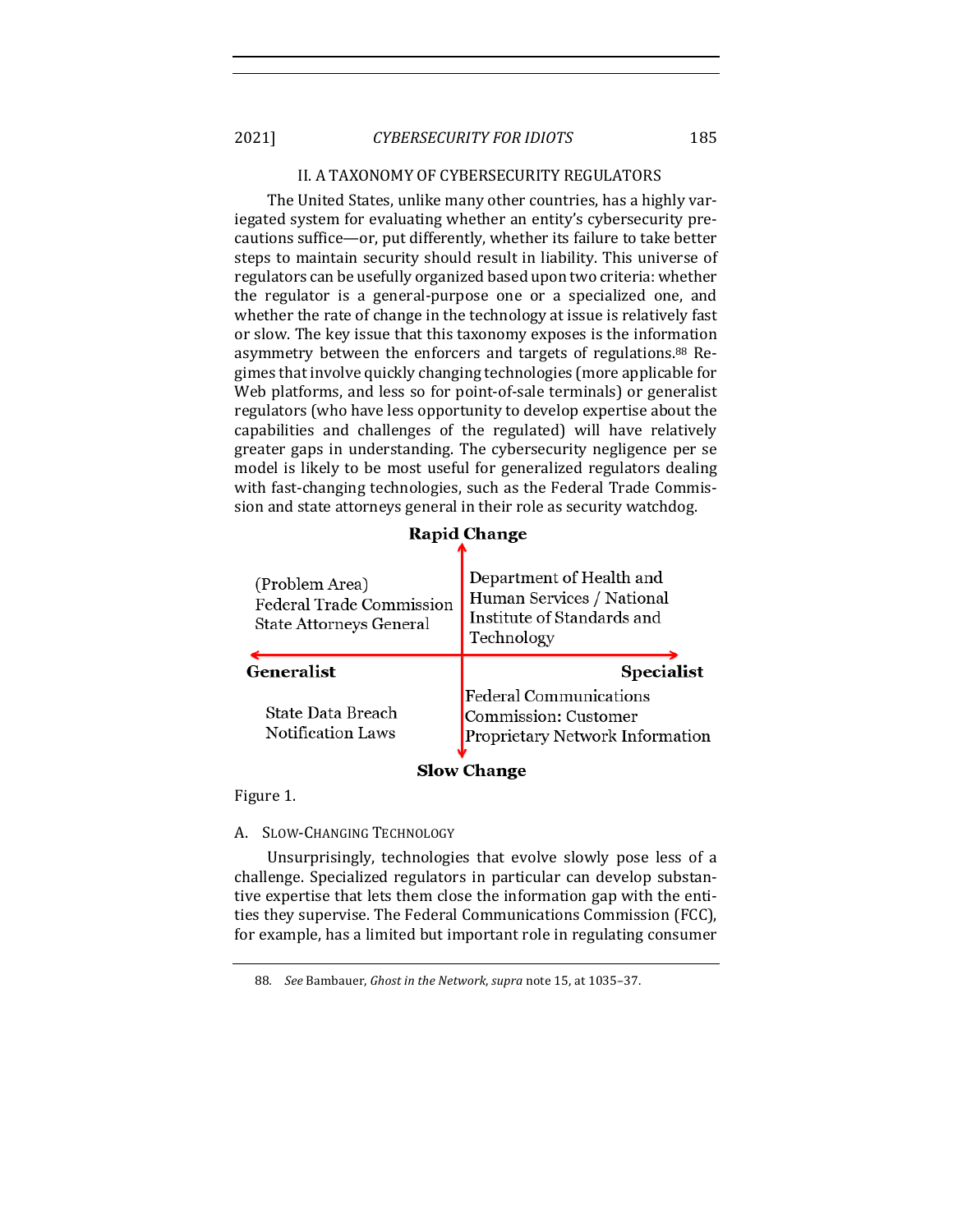# II. A TAXONOMY OF CYBERSECURITY REGULATORS

The United States, unlike many other countries, has a highly variegated system for evaluating whether an entity's cybersecurity precautions suffice—or, put differently, whether its failure to take better steps to maintain security should result in liability. This universe of regulators can be usefully organized based upon two criteria: whether the regulator is a general-purpose one or a specialized one, and whether the rate of change in the technology at issue is relatively fast or slow. The key issue that this taxonomy exposes is the information asymmetry between the enforcers and targets of regulations.<sup>88</sup> Regimes that involve quickly changing technologies (more applicable for Web platforms, and less so for point-of-sale terminals) or generalist regulators (who have less opportunity to develop expertise about the capabilities and challenges of the regulated) will have relatively greater gaps in understanding. The cybersecurity negligence per se model is likely to be most useful for generalized regulators dealing with fast-changing technologies, such as the Federal Trade Commission and state attorneys general in their role as security watchdog.

| (Problem Area)<br>Federal Trade Commission<br>State Attorneys General | Department of Health and<br>Human Services / National<br>Institute of Standards and<br>Technology |
|-----------------------------------------------------------------------|---------------------------------------------------------------------------------------------------|
| <b>Generalist</b>                                                     | Specialist                                                                                        |
| State Data Breach<br>Notification Laws                                | Federal Communications<br>Commission: Customer<br>Proprietary Network Information                 |
| <b>Slow Change</b>                                                    |                                                                                                   |

**Rapid Change** 

Figure 1.

# A. SLOW-CHANGING TECHNOLOGY

Unsurprisingly, technologies that evolve slowly pose less of a challenge. Specialized regulators in particular can develop substantive expertise that lets them close the information gap with the entities they supervise. The Federal Communications Commission (FCC), for example, has a limited but important role in regulating consumer

<sup>88.</sup> *See* Bambauer, *Ghost in the Network*, *supra* note 15, at 1035-37.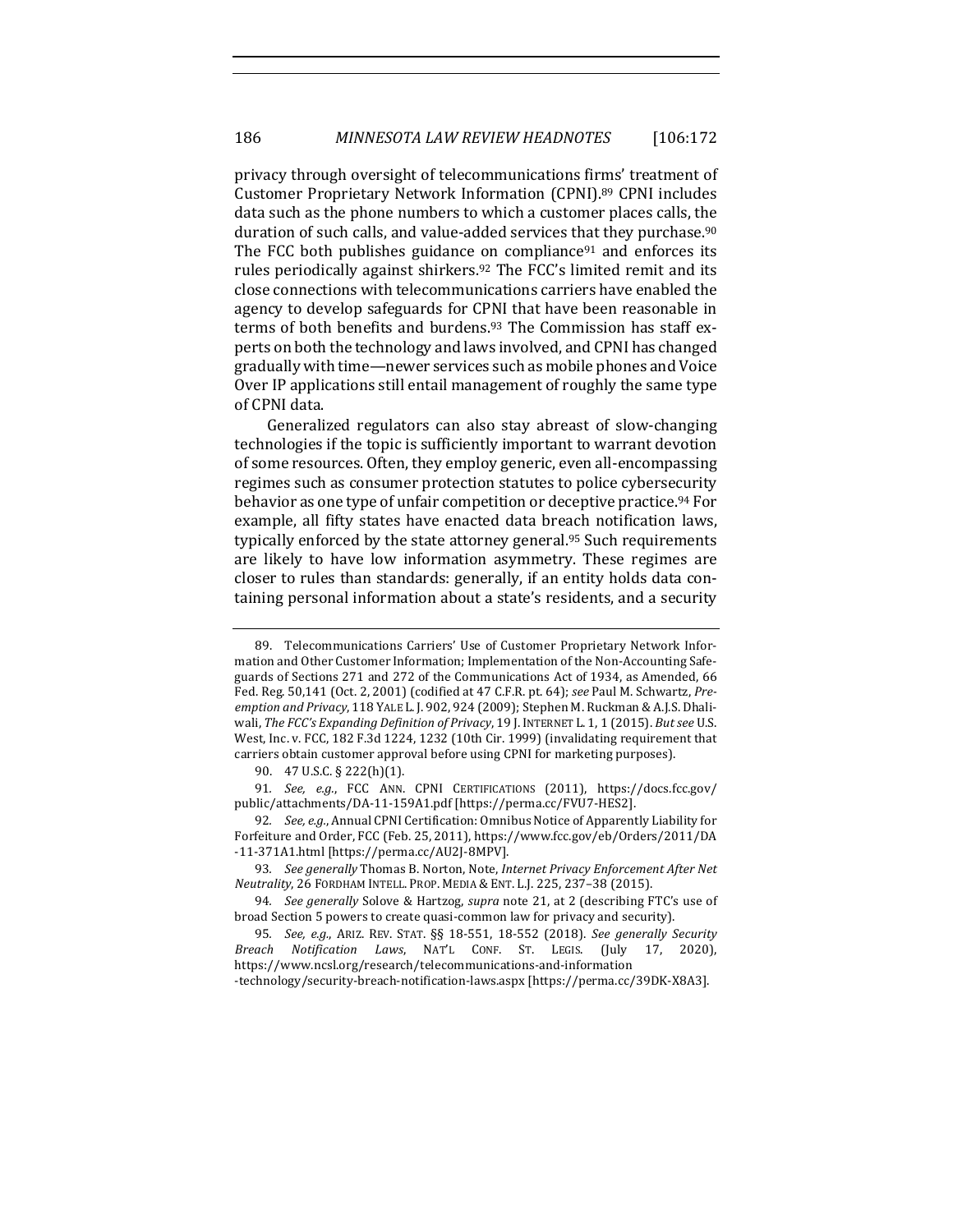privacy through oversight of telecommunications firms' treatment of Customer Proprietary Network Information (CPNI).<sup>89</sup> CPNI includes data such as the phone numbers to which a customer places calls, the duration of such calls, and value-added services that they purchase.<sup>90</sup> The FCC both publishes guidance on compliance<sup>91</sup> and enforces its rules periodically against shirkers.<sup>92</sup> The FCC's limited remit and its close connections with telecommunications carriers have enabled the agency to develop safeguards for CPNI that have been reasonable in terms of both benefits and burdens.<sup>93</sup> The Commission has staff experts on both the technology and laws involved, and CPNI has changed gradually with time—newer services such as mobile phones and Voice Over IP applications still entail management of roughly the same type of CPNI data.

Generalized regulators can also stay abreast of slow-changing technologies if the topic is sufficiently important to warrant devotion of some resources. Often, they employ generic, even all-encompassing regimes such as consumer protection statutes to police cybersecurity behavior as one type of unfair competition or deceptive practice.<sup>94</sup> For example, all fifty states have enacted data breach notification laws, typically enforced by the state attorney general.<sup>95</sup> Such requirements are likely to have low information asymmetry. These regimes are closer to rules than standards: generally, if an entity holds data containing personal information about a state's residents, and a security

<sup>89.</sup> Telecommunications Carriers' Use of Customer Proprietary Network Information and Other Customer Information; Implementation of the Non-Accounting Safeguards of Sections 271 and 272 of the Communications Act of 1934, as Amended, 66 Fed. Reg. 50,141 (Oct. 2, 2001) (codified at 47 C.F.R. pt. 64); see Paul M. Schwartz, Preemption and Privacy, 118 YALE L. J. 902, 924 (2009); Stephen M. Ruckman & A.J.S. Dhaliwali, The FCC's Expanding Definition of Privacy, 19 J. INTERNET L. 1, 1 (2015). But see U.S. West, Inc. v. FCC, 182 F.3d 1224, 1232 (10th Cir. 1999) (invalidating requirement that carriers obtain customer approval before using CPNI for marketing purposes).

<sup>90. 47</sup> U.S.C. § 222(h)(1).

<sup>91.</sup> See, e.g., FCC ANN. CPNI CERTIFICATIONS (2011), https://docs.fcc.gov/ public/attachments/DA-11-159A1.pdf [https://perma.cc/FVU7-HES2].

<sup>92.</sup> *See, e.g.*, Annual CPNI Certification: Omnibus Notice of Apparently Liability for Forfeiture and Order, FCC (Feb. 25, 2011), https://www.fcc.gov/eb/Orders/2011/DA -11-371A1.html [https://perma.cc/AU2J-8MPV].

<sup>93.</sup> See generally Thomas B. Norton, Note, *Internet Privacy Enforcement After Net Neutrality*, 26 FORDHAM INTELL. PROP. MEDIA & ENT. L.J. 225, 237–38 (2015).

<sup>94.</sup> *See generally* Solove & Hartzog, *supra* note 21, at 2 (describing FTC's use of broad Section 5 powers to create quasi-common law for privacy and security).

<sup>95</sup>*. See, e.g.*, ARIZ. REV. STAT. §§ 18-551, 18-552 (2018). *See generally Security Breach Notification Laws*, NAT'L CONF. ST. LEGIS. (July 17, 2020), https://www.ncsl.org/research/telecommunications-and-information -technology/security-breach-notification-laws.aspx [https://perma.cc/39DK-X8A3].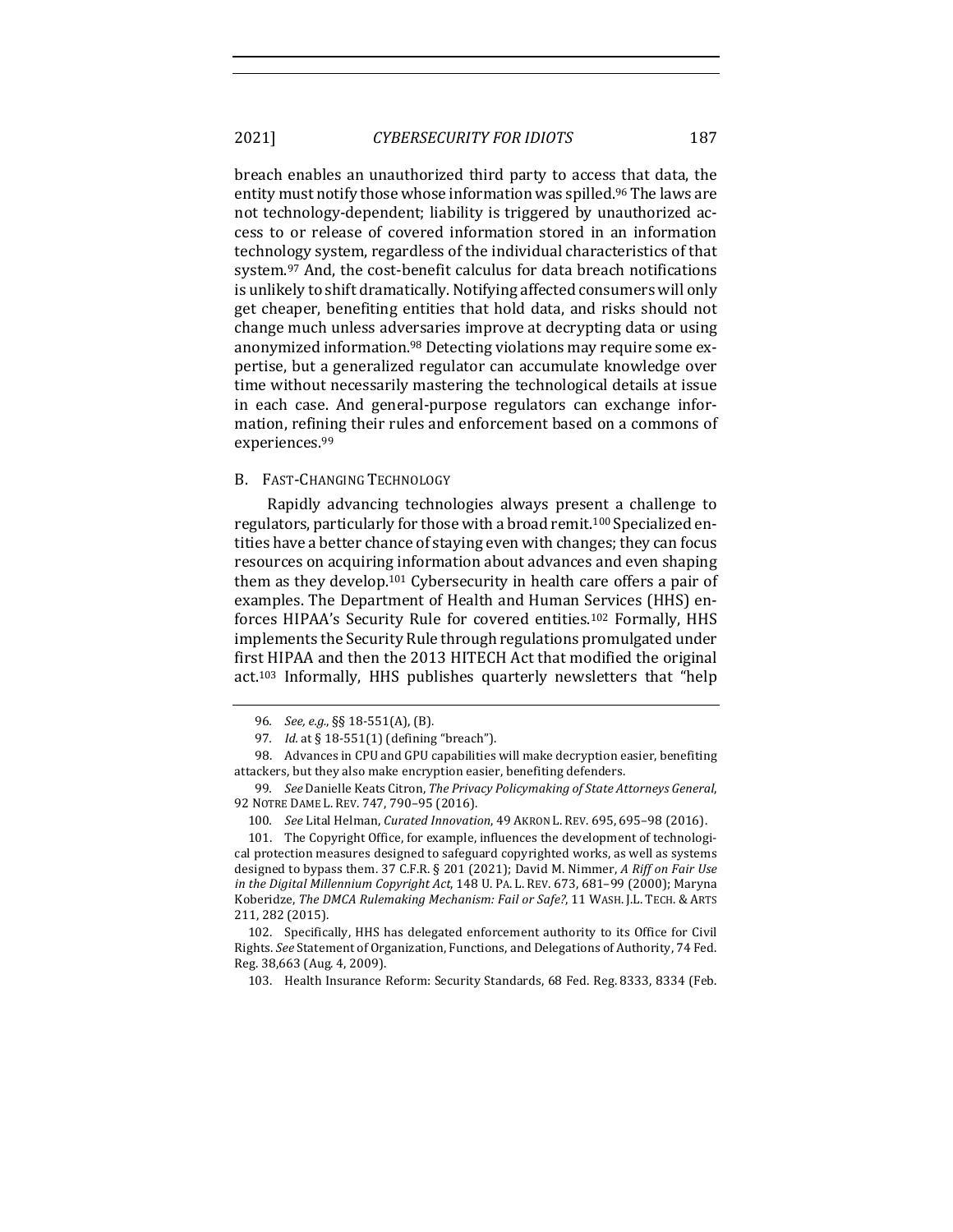breach enables an unauthorized third party to access that data, the entity must notify those whose information was spilled.<sup>96</sup> The laws are not technology-dependent; liability is triggered by unauthorized access to or release of covered information stored in an information technology system, regardless of the individual characteristics of that system.<sup>97</sup> And, the cost-benefit calculus for data breach notifications is unlikely to shift dramatically. Notifying affected consumers will only get cheaper, benefiting entities that hold data, and risks should not change much unless adversaries improve at decrypting data or using anonymized information.<sup>98</sup> Detecting violations may require some expertise, but a generalized regulator can accumulate knowledge over time without necessarily mastering the technological details at issue in each case. And general-purpose regulators can exchange information, refining their rules and enforcement based on a commons of experiences.99

#### B. FAST-CHANGING TECHNOLOGY

Rapidly advancing technologies always present a challenge to regulators, particularly for those with a broad remit.<sup>100</sup> Specialized entities have a better chance of staying even with changes; they can focus resources on acquiring information about advances and even shaping them as they develop.<sup>101</sup> Cybersecurity in health care offers a pair of examples. The Department of Health and Human Services (HHS) enforces HIPAA's Security Rule for covered entities.<sup>102</sup> Formally, HHS implements the Security Rule through regulations promulgated under first HIPAA and then the 2013 HITECH Act that modified the original  $act<sub>103</sub>$  Informally, HHS publishes quarterly newsletters that "help

<sup>96.</sup> *See, e.g.*, §§ 18-551(A), (B).

<sup>97.</sup> *Id.* at § 18-551(1) (defining "breach").

<sup>98.</sup> Advances in CPU and GPU capabilities will make decryption easier, benefiting attackers, but they also make encryption easier, benefiting defenders.

<sup>99.</sup> See Danielle Keats Citron, The Privacy Policymaking of State Attorneys General, 92 NOTRE DAME L. REV. 747, 790-95 (2016).

<sup>100.</sup> *See* Lital Helman, *Curated Innovation*, 49 AKRON L. REV. 695, 695-98 (2016).

<sup>101.</sup> The Copyright Office, for example, influences the development of technological protection measures designed to safeguard copyrighted works, as well as systems designed to bypass them. 37 C.F.R. § 201 (2021); David M. Nimmer, *A Riff on Fair Use* in the Digital Millennium Copyright Act, 148 U. PA. L. REV. 673, 681-99 (2000); Maryna Koberidze, The DMCA Rulemaking Mechanism: Fail or Safe?, 11 WASH. J.L. TECH. & ARTS 211, 282 (2015).

<sup>102.</sup> Specifically, HHS has delegated enforcement authority to its Office for Civil Rights. See Statement of Organization, Functions, and Delegations of Authority, 74 Fed. Reg. 38,663 (Aug. 4, 2009).

<sup>103.</sup> Health Insurance Reform: Security Standards, 68 Fed. Reg. 8333, 8334 (Feb.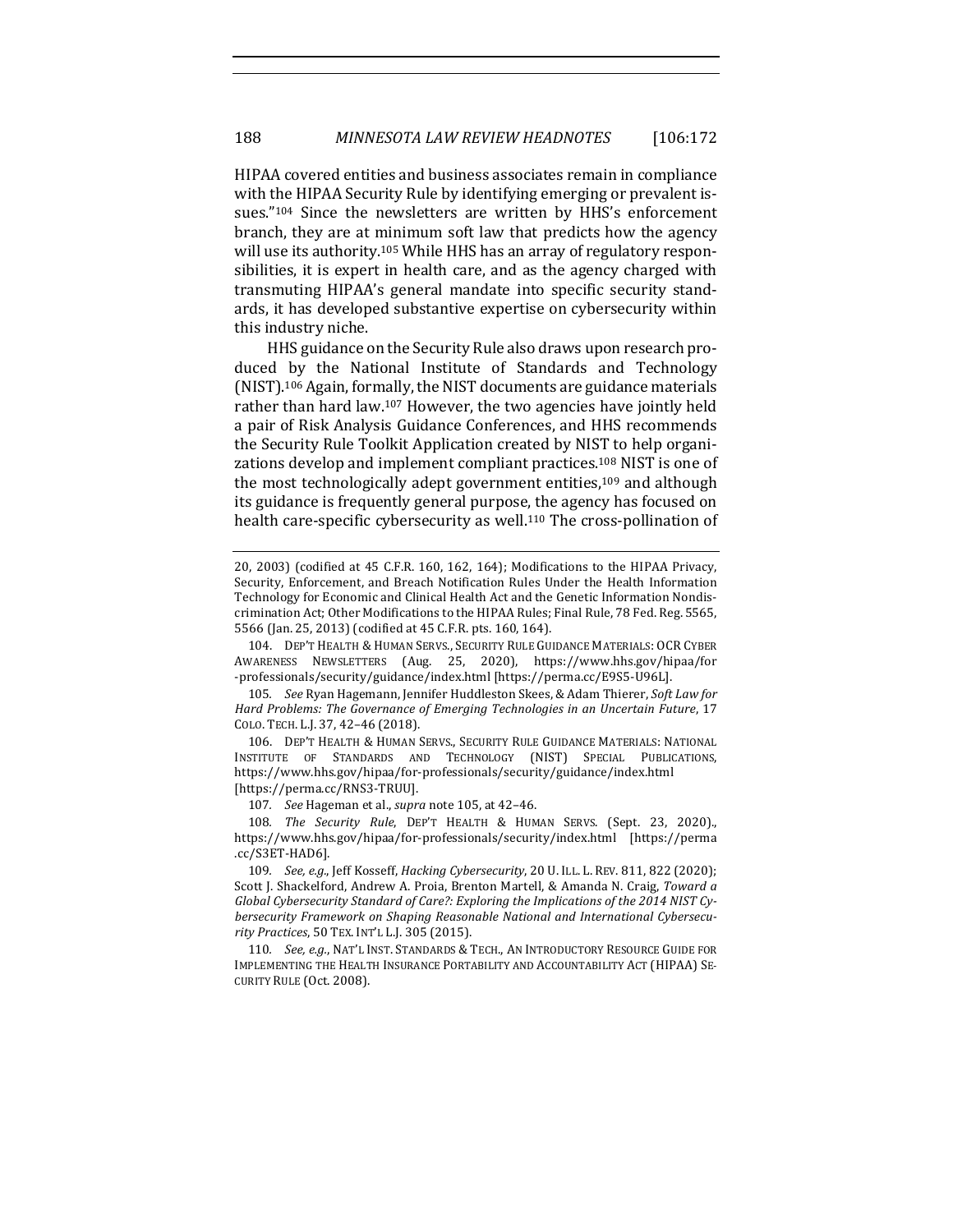HIPAA covered entities and business associates remain in compliance with the HIPAA Security Rule by identifying emerging or prevalent issues."<sup>104</sup> Since the newsletters are written by HHS's enforcement branch, they are at minimum soft law that predicts how the agency will use its authority.<sup>105</sup> While HHS has an array of regulatory responsibilities, it is expert in health care, and as the agency charged with transmuting HIPAA's general mandate into specific security standards, it has developed substantive expertise on cybersecurity within this industry niche.

HHS guidance on the Security Rule also draws upon research produced by the National Institute of Standards and Technology  $(NIST)$ <sup>106</sup> Again, formally, the NIST documents are guidance materials rather than hard law.<sup>107</sup> However, the two agencies have jointly held a pair of Risk Analysis Guidance Conferences, and HHS recommends the Security Rule Toolkit Application created by NIST to help organizations develop and implement compliant practices.<sup>108</sup> NIST is one of the most technologically adept government entities, $109$  and although its guidance is frequently general purpose, the agency has focused on health care-specific cybersecurity as well.<sup>110</sup> The cross-pollination of

104. DEP'T HEALTH & HUMAN SERVS., SECURITY RULE GUIDANCE MATERIALS: OCR CYBER AWARENESS NEWSLETTERS (Aug. 25, 2020), https://www.hhs.gov/hipaa/for -professionals/security/guidance/index.html [https://perma.cc/E9S5-U96L].

105. *See* Ryan Hagemann, Jennifer Huddleston Skees, & Adam Thierer, Soft Law for Hard Problems: The Governance of Emerging Technologies in an Uncertain Future, 17 COLO. TECH. L.J. 37, 42-46 (2018).

106. DEP'T HEALTH & HUMAN SERVS., SECURITY RULE GUIDANCE MATERIALS: NATIONAL INSTITUTE OF STANDARDS AND TECHNOLOGY (NIST) SPECIAL PUBLICATIONS, https://www.hhs.gov/hipaa/for-professionals/security/guidance/index.html [https://perma.cc/RNS3-TRUU].

107. *See* Hageman et al., *supra* note 105, at 42-46.

108. *The Security Rule*, DEP'T HEALTH & HUMAN SERVS. (Sept. 23, 2020)., https://www.hhs.gov/hipaa/for-professionals/security/index.html [https://perma .cc/S3ET-HAD6]. 

109. *See, e.g.*, Jeff Kosseff, *Hacking Cybersecurity*, 20 U. ILL. L. REV. 811, 822 (2020); Scott J. Shackelford, Andrew A. Proia, Brenton Martell, & Amanda N. Craig, Toward a Global Cybersecurity Standard of Care?: Exploring the Implications of the 2014 NIST Cybersecurity Framework on Shaping Reasonable National and International Cybersecu*rity Practices*, 50 TEX. INT'L L.J. 305 (2015).

110. *See, e.g.*, NAT'L INST. STANDARDS & TECH., AN INTRODUCTORY RESOURCE GUIDE FOR IMPLEMENTING THE HEALTH INSURANCE PORTABILITY AND ACCOUNTABILITY ACT (HIPAA) SE-CURITY RULE (Oct. 2008).

<sup>20, 2003) (</sup>codified at  $45$  C.F.R. 160, 162, 164); Modifications to the HIPAA Privacy, Security, Enforcement, and Breach Notification Rules Under the Health Information Technology for Economic and Clinical Health Act and the Genetic Information Nondiscrimination Act; Other Modifications to the HIPAA Rules; Final Rule, 78 Fed. Reg. 5565, 5566 (Jan. 25, 2013) (codified at 45 C.F.R. pts. 160, 164).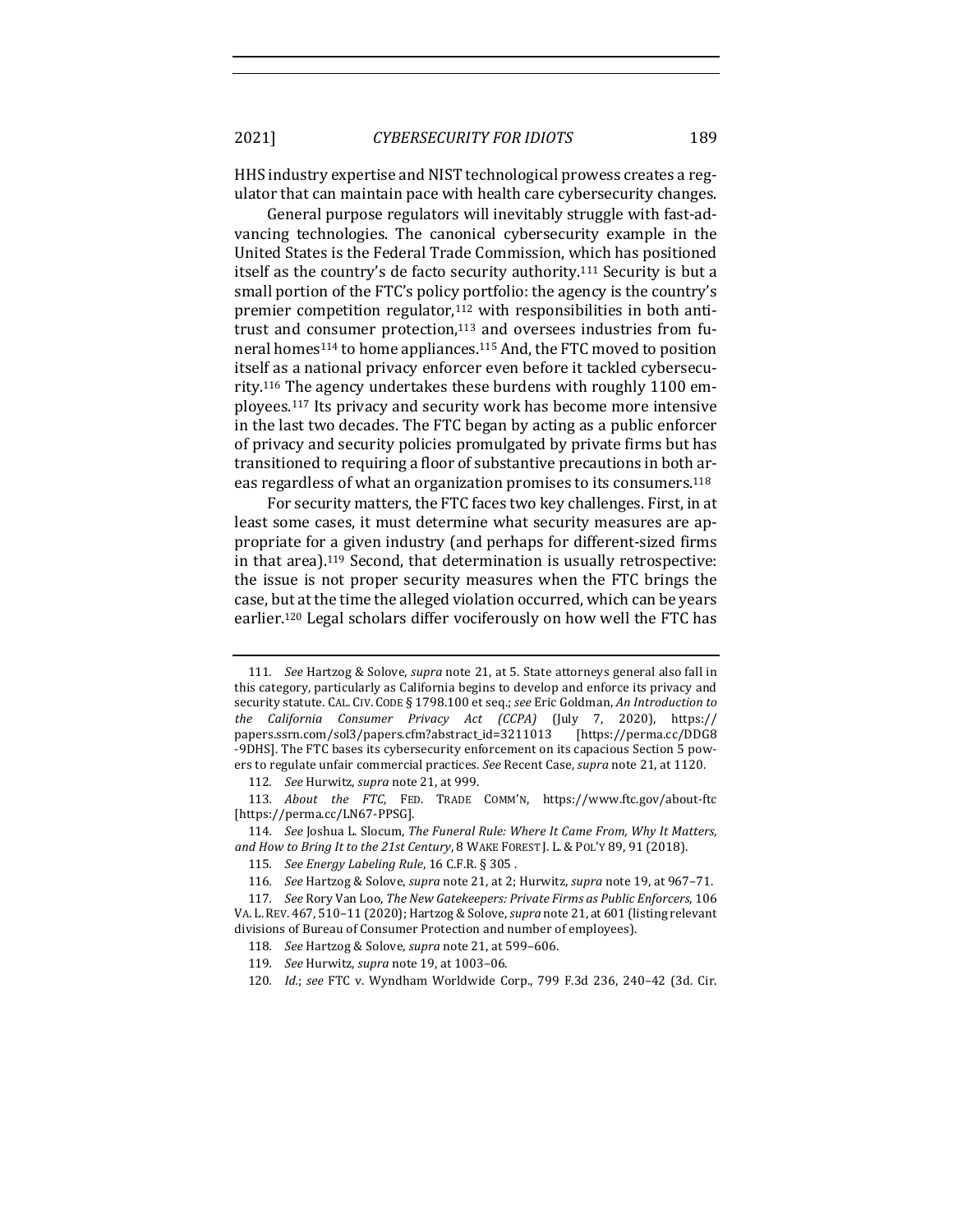HHS industry expertise and NIST technological prowess creates a regulator that can maintain pace with health care cybersecurity changes.

General purpose regulators will inevitably struggle with fast-advancing technologies. The canonical cybersecurity example in the United States is the Federal Trade Commission, which has positioned itself as the country's de facto security authority.<sup>111</sup> Security is but a small portion of the FTC's policy portfolio: the agency is the country's premier competition regulator, $112$  with responsibilities in both antitrust and consumer protection, $113$  and oversees industries from funeral homes<sup>114</sup> to home appliances.<sup>115</sup> And, the FTC moved to position itself as a national privacy enforcer even before it tackled cybersecurity.<sup>116</sup> The agency undertakes these burdens with roughly 1100 employees.<sup>117</sup> Its privacy and security work has become more intensive in the last two decades. The FTC began by acting as a public enforcer of privacy and security policies promulgated by private firms but has transitioned to requiring a floor of substantive precautions in both areas regardless of what an organization promises to its consumers.<sup>118</sup>

For security matters, the FTC faces two key challenges. First, in at least some cases, it must determine what security measures are appropriate for a given industry (and perhaps for different-sized firms in that area).<sup>119</sup> Second, that determination is usually retrospective: the issue is not proper security measures when the FTC brings the case, but at the time the alleged violation occurred, which can be years earlier.<sup>120</sup> Legal scholars differ vociferously on how well the FTC has

<sup>111.</sup> *See* Hartzog & Solove, *supra* note 21, at 5. State attorneys general also fall in this category, particularly as California begins to develop and enforce its privacy and security statute. CAL. CIV. CODE § 1798.100 et seq.; see Eric Goldman, An Introduction to *the California Consumer Privacy Act (CCPA)* (July 7, 2020), https:// papers.ssrn.com/sol3/papers.cfm?abstract\_id=3211013 [https://perma.cc/DDG8 -9DHS]. The FTC bases its cybersecurity enforcement on its capacious Section 5 powers to regulate unfair commercial practices. See Recent Case, *supra* note 21, at 1120.

<sup>112.</sup> *See* Hurwitz, *supra* note 21, at 999.

<sup>113.</sup> *About* the FTC, FED. TRADE COMM'N, https://www.ftc.gov/about-ftc [https://perma.cc/LN67-PPSG].

<sup>114.</sup> *See* Joshua L. Slocum, The Funeral Rule: Where It Came From, Why It Matters, and How to Bring It to the 21st Century, 8 WAKE FOREST J. L. & POL'Y 89, 91 (2018).

<sup>115.</sup> *See Energy Labeling Rule*, 16 C.F.R. § 305.

<sup>116.</sup> *See* Hartzog & Solove, *supra* note 21, at 2; Hurwitz, *supra* note 19, at 967-71.

<sup>117.</sup> See Rory Van Loo, *The New Gatekeepers: Private Firms as Public Enforcers*, 106 VA. L. REV. 467, 510-11 (2020); Hartzog & Solove, *supra* note 21, at 601 (listing relevant divisions of Bureau of Consumer Protection and number of employees).

<sup>118.</sup> See Hartzog & Solove, *supra* note 21, at 599-606.

<sup>119.</sup> See Hurwitz, *supra* note 19, at 1003-06.

<sup>120.</sup> *Id.*; see FTC v. Wyndham Worldwide Corp., 799 F.3d 236, 240-42 (3d. Cir.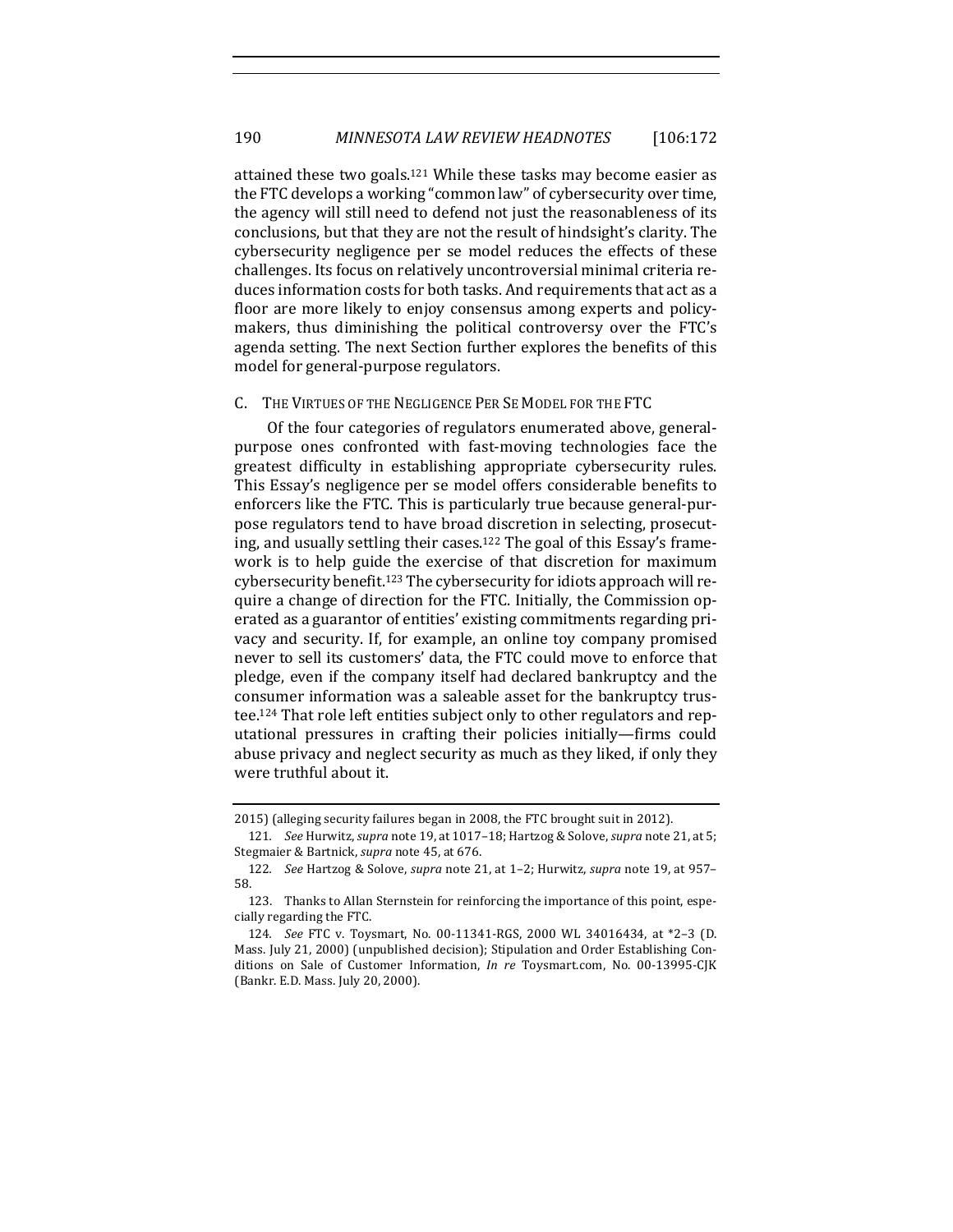attained these two goals.<sup>121</sup> While these tasks may become easier as the FTC develops a working "common law" of cybersecurity over time, the agency will still need to defend not just the reasonableness of its conclusions, but that they are not the result of hindsight's clarity. The cybersecurity negligence per se model reduces the effects of these challenges. Its focus on relatively uncontroversial minimal criteria reduces information costs for both tasks. And requirements that act as a floor are more likely to enjoy consensus among experts and policymakers, thus diminishing the political controversy over the FTC's agenda setting. The next Section further explores the benefits of this model for general-purpose regulators.

# C. THE VIRTUES OF THE NEGLIGENCE PER SE MODEL FOR THE FTC

Of the four categories of regulators enumerated above, generalpurpose ones confronted with fast-moving technologies face the greatest difficulty in establishing appropriate cybersecurity rules. This Essay's negligence per se model offers considerable benefits to enforcers like the FTC. This is particularly true because general-purpose regulators tend to have broad discretion in selecting, prosecuting, and usually settling their cases.<sup>122</sup> The goal of this Essay's framework is to help guide the exercise of that discretion for maximum cybersecurity benefit.<sup>123</sup> The cybersecurity for idiots approach will require a change of direction for the FTC. Initially, the Commission operated as a guarantor of entities' existing commitments regarding privacy and security. If, for example, an online toy company promised never to sell its customers' data, the FTC could move to enforce that pledge, even if the company itself had declared bankruptcy and the consumer information was a saleable asset for the bankruptcy trustee.<sup>124</sup> That role left entities subject only to other regulators and reputational pressures in crafting their policies initially—firms could abuse privacy and neglect security as much as they liked, if only they were truthful about it.

<sup>2015) (</sup>alleging security failures began in 2008, the FTC brought suit in 2012).

<sup>121.</sup> *See Hurwitz, supra note* 19, at 1017-18; Hartzog & Solove, *supra* note 21, at 5; Stegmaier & Bartnick, *supra* note 45, at 676.

<sup>122.</sup> *See* Hartzog & Solove, *supra* note 21, at 1-2; Hurwitz, *supra* note 19, at 957-58.

<sup>123.</sup> Thanks to Allan Sternstein for reinforcing the importance of this point, especially regarding the FTC.

<sup>124.</sup> *See* FTC v. Toysmart, No. 00-11341-RGS, 2000 WL 34016434, at \*2-3 (D. Mass. July 21, 2000) (unpublished decision); Stipulation and Order Establishing Conditions on Sale of Customer Information, *In re* Toysmart.com, No. 00-13995-CJK (Bankr. E.D. Mass. July 20, 2000).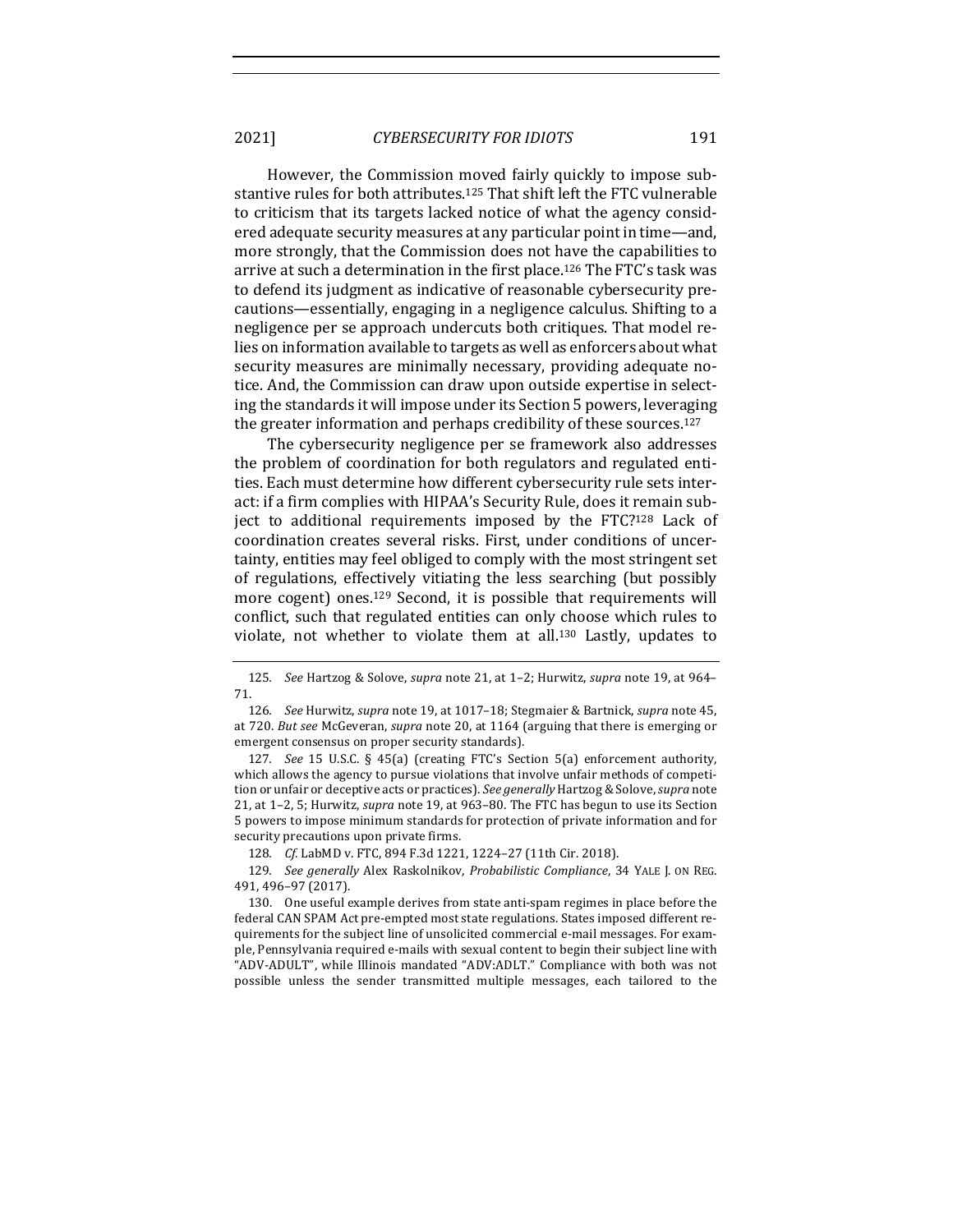However, the Commission moved fairly quickly to impose substantive rules for both attributes.<sup>125</sup> That shift left the FTC vulnerable to criticism that its targets lacked notice of what the agency considered adequate security measures at any particular point in time—and, more strongly, that the Commission does not have the capabilities to arrive at such a determination in the first place.<sup>126</sup> The FTC's task was to defend its judgment as indicative of reasonable cybersecurity precautions—essentially, engaging in a negligence calculus. Shifting to a negligence per se approach undercuts both critiques. That model relies on information available to targets as well as enforcers about what security measures are minimally necessary, providing adequate notice. And, the Commission can draw upon outside expertise in selecting the standards it will impose under its Section 5 powers, leveraging the greater information and perhaps credibility of these sources.<sup>127</sup>

The cybersecurity negligence per se framework also addresses the problem of coordination for both regulators and regulated entities. Each must determine how different cybersecurity rule sets interact: if a firm complies with HIPAA's Security Rule, does it remain subject to additional requirements imposed by the FTC?<sup>128</sup> Lack of coordination creates several risks. First, under conditions of uncertainty, entities may feel obliged to comply with the most stringent set of regulations, effectively vitiating the less searching (but possibly more cogent) ones.<sup>129</sup> Second, it is possible that requirements will conflict, such that regulated entities can only choose which rules to violate, not whether to violate them at all.<sup>130</sup> Lastly, updates to

127. *See* 15 U.S.C. § 45(a) (creating FTC's Section 5(a) enforcement authority, which allows the agency to pursue violations that involve unfair methods of competition or unfair or deceptive acts or practices). *See generally* Hartzog & Solove, *supra* note 21, at 1-2, 5; Hurwitz, *supra* note 19, at 963-80. The FTC has begun to use its Section 5 powers to impose minimum standards for protection of private information and for security precautions upon private firms.

128. *Cf.* LabMD v. FTC, 894 F.3d 1221, 1224-27 (11th Cir. 2018).

129. *See generally* Alex Raskolnikov, *Probabilistic Compliance*, 34 YALE J. ON REG. 491, 496–97 (2017).

130. One useful example derives from state anti-spam regimes in place before the federal CAN SPAM Act pre-empted most state regulations. States imposed different requirements for the subject line of unsolicited commercial e-mail messages. For example, Pennsylvania required e-mails with sexual content to begin their subject line with "ADV-ADULT", while Illinois mandated "ADV:ADLT." Compliance with both was not possible unless the sender transmitted multiple messages, each tailored to the

<sup>125.</sup> *See* Hartzog & Solove, *supra* note 21, at 1-2; Hurwitz, *supra* note 19, at 964– 71.

<sup>126.</sup> *See* Hurwitz, *supra* note 19, at 1017-18; Stegmaier & Bartnick, *supra* note 45, at 720. *But see* McGeveran, *supra* note 20, at 1164 (arguing that there is emerging or emergent consensus on proper security standards).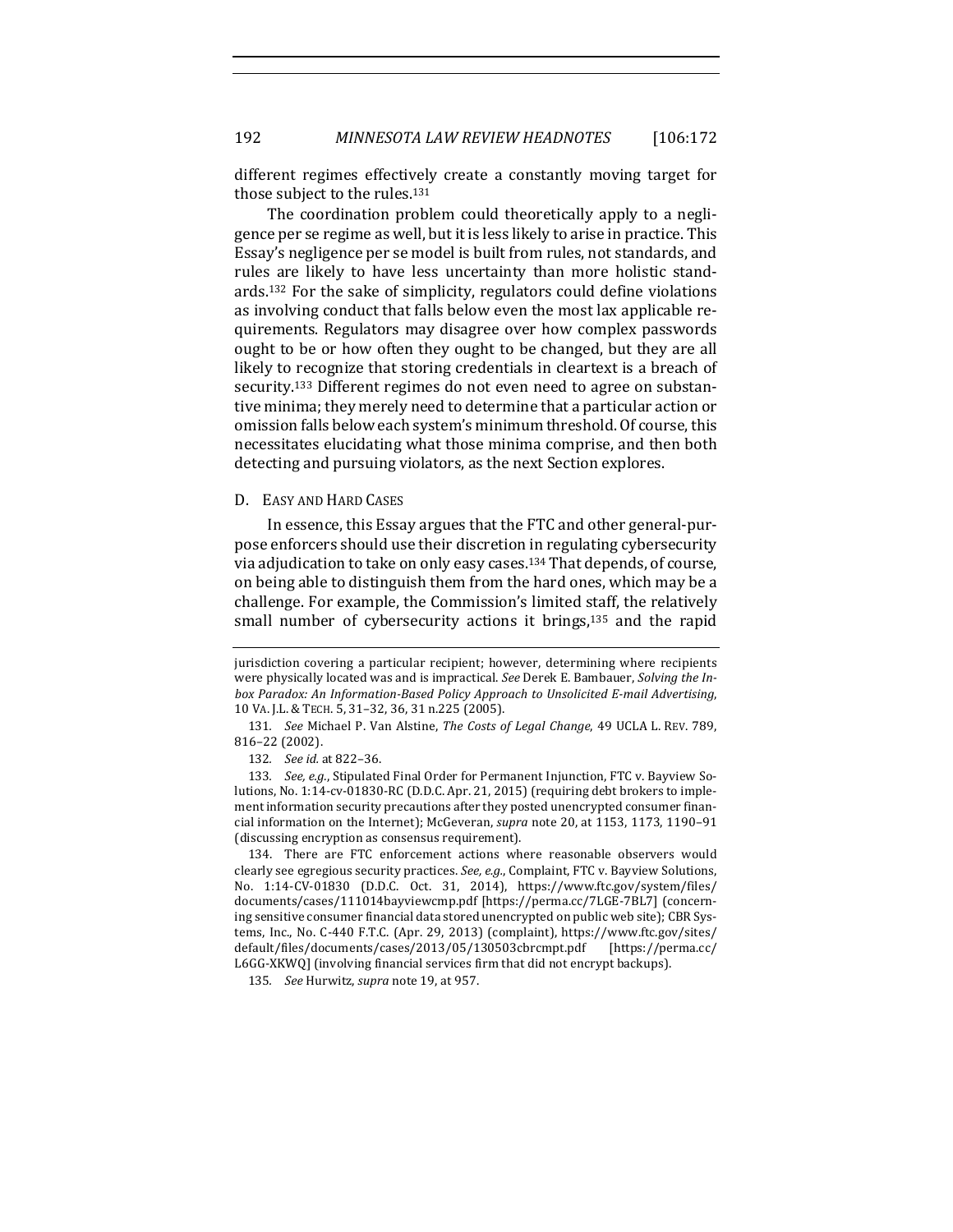different regimes effectively create a constantly moving target for those subject to the rules.<sup>131</sup>

The coordination problem could theoretically apply to a negligence per se regime as well, but it is less likely to arise in practice. This Essay's negligence per se model is built from rules, not standards, and rules are likely to have less uncertainty than more holistic standards.<sup>132</sup> For the sake of simplicity, regulators could define violations as involving conduct that falls below even the most lax applicable requirements. Regulators may disagree over how complex passwords ought to be or how often they ought to be changed, but they are all likely to recognize that storing credentials in cleartext is a breach of security.<sup>133</sup> Different regimes do not even need to agree on substantive minima; they merely need to determine that a particular action or omission falls below each system's minimum threshold. Of course, this necessitates elucidating what those minima comprise, and then both detecting and pursuing violators, as the next Section explores.

#### D. EASY AND HARD CASES

In essence, this Essay argues that the FTC and other general-purpose enforcers should use their discretion in regulating cybersecurity via adjudication to take on only easy cases.<sup>134</sup> That depends, of course, on being able to distinguish them from the hard ones, which may be a challenge. For example, the Commission's limited staff, the relatively small number of cybersecurity actions it brings, $135$  and the rapid

jurisdiction covering a particular recipient; however, determining where recipients were physically located was and is impractical. See Derek E. Bambauer, *Solving the In*box Paradox: An Information-Based Policy Approach to Unsolicited E-mail Advertising, 10 VA. J.L. & TECH. 5, 31–32, 36, 31 n.225 (2005).

<sup>131.</sup> *See* Michael P. Van Alstine, The Costs of Legal Change, 49 UCLA L. REV. 789, 816–22 (2002).

<sup>132</sup>*. See id.* at 822–36.

<sup>133.</sup> *See, e.g.*, Stipulated Final Order for Permanent Injunction, FTC v. Bayview Solutions, No. 1:14-cv-01830-RC (D.D.C. Apr. 21, 2015) (requiring debt brokers to implement information security precautions after they posted unencrypted consumer financial information on the Internet); McGeveran, *supra* note 20, at 1153, 1173, 1190-91 (discussing encryption as consensus requirement).

<sup>134.</sup> There are FTC enforcement actions where reasonable observers would clearly see egregious security practices. *See, e.g.*, Complaint, FTC v. Bayview Solutions, No. 1:14-CV-01830 (D.D.C. Oct. 31, 2014), https://www.ftc.gov/system/files/ documents/cases/111014bayviewcmp.pdf [https://perma.cc/7LGE-7BL7] (concerning sensitive consumer financial data stored unencrypted on public web site); CBR Systems, Inc., No. C-440 F.T.C. (Apr. 29, 2013) (complaint), https://www.ftc.gov/sites/ default/files/documents/cases/2013/05/130503cbrcmpt.pdf [https://perma.cc/ L6GG-XKWQ] (involving financial services firm that did not encrypt backups).

<sup>135.</sup> See Hurwitz, *supra* note 19, at 957.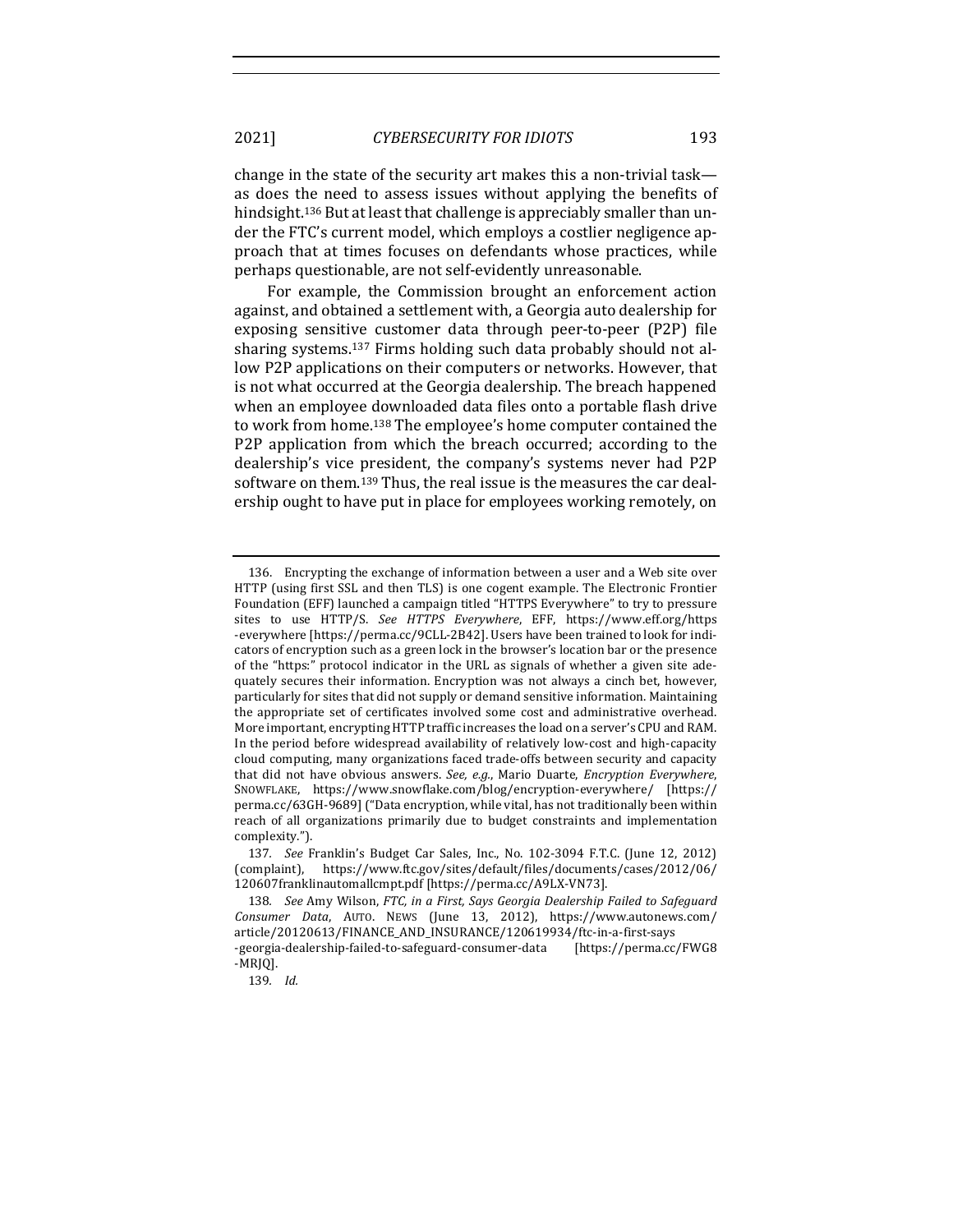change in the state of the security art makes this a non-trivial task as does the need to assess issues without applying the benefits of hindsight.<sup>136</sup> But at least that challenge is appreciably smaller than under the FTC's current model, which employs a costlier negligence approach that at times focuses on defendants whose practices, while perhaps questionable, are not self-evidently unreasonable.

For example, the Commission brought an enforcement action against, and obtained a settlement with, a Georgia auto dealership for exposing sensitive customer data through peer-to-peer (P2P) file sharing systems.<sup>137</sup> Firms holding such data probably should not allow P2P applications on their computers or networks. However, that is not what occurred at the Georgia dealership. The breach happened when an employee downloaded data files onto a portable flash drive to work from home.<sup>138</sup> The employee's home computer contained the P2P application from which the breach occurred; according to the dealership's vice president, the company's systems never had P2P software on them.<sup>139</sup> Thus, the real issue is the measures the car dealership ought to have put in place for employees working remotely, on

<sup>136.</sup> Encrypting the exchange of information between a user and a Web site over HTTP (using first SSL and then TLS) is one cogent example. The Electronic Frontier Foundation (EFF) launched a campaign titled "HTTPS Everywhere" to try to pressure sites to use HTTP/S. *See HTTPS Everywhere*, EFF, https://www.eff.org/https -everywhere [https://perma.cc/9CLL-2B42]. Users have been trained to look for indicators of encryption such as a green lock in the browser's location bar or the presence of the "https:" protocol indicator in the URL as signals of whether a given site adequately secures their information. Encryption was not always a cinch bet, however, particularly for sites that did not supply or demand sensitive information. Maintaining the appropriate set of certificates involved some cost and administrative overhead. More important, encrypting HTTP traffic increases the load on a server's CPU and RAM. In the period before widespread availability of relatively low-cost and high-capacity cloud computing, many organizations faced trade-offs between security and capacity that did not have obvious answers. See, e.g., Mario Duarte, *Encryption Everywhere*, SNOWFLAKE, https://www.snowflake.com/blog/encryption-everywhere/ [https:// perma.cc/63GH-9689] ("Data encryption, while vital, has not traditionally been within reach of all organizations primarily due to budget constraints and implementation complexity.").

<sup>137.</sup> *See* Franklin's Budget Car Sales, Inc., No. 102-3094 F.T.C. (June 12, 2012) (complaint), https://www.ftc.gov/sites/default/files/documents/cases/2012/06/ 120607franklinautomallcmpt.pdf [https://perma.cc/A9LX-VN73].

<sup>138.</sup> *See* Amy Wilson, *FTC*, in a First, Says Georgia Dealership Failed to Safeguard *Consumer Data*, AUTO. NEWS (June 13, 2012), https://www.autonews.com/ article/20120613/FINANCE\_AND\_INSURANCE/120619934/ftc-in-a-first-says -georgia-dealership-failed-to-safeguard-consumer-data [https://perma.cc/FWG8

<sup>-</sup>MRJQ].

<sup>139</sup>*. Id.*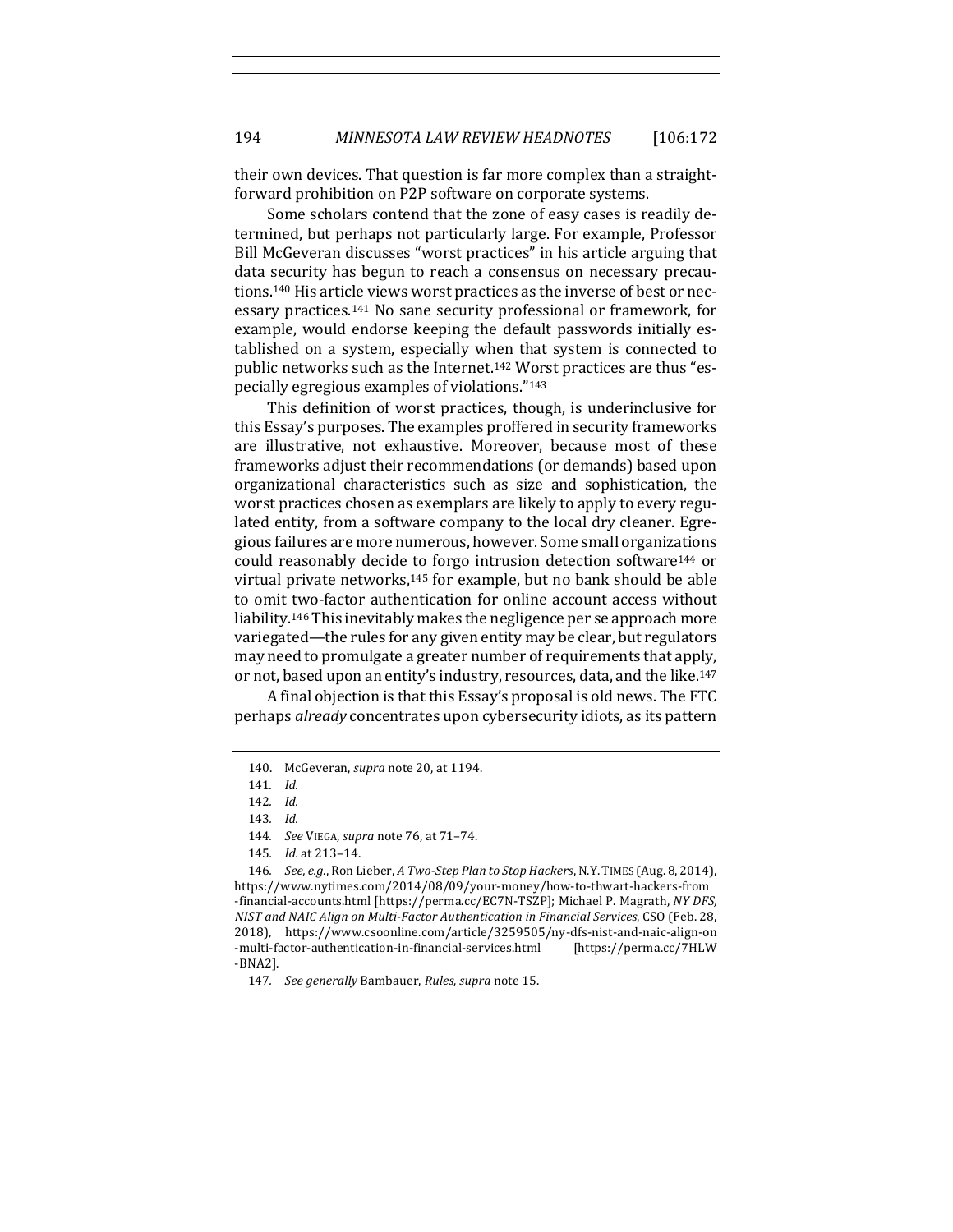their own devices. That question is far more complex than a straightforward prohibition on P2P software on corporate systems.

Some scholars contend that the zone of easy cases is readily determined, but perhaps not particularly large. For example, Professor Bill McGeveran discusses "worst practices" in his article arguing that data security has begun to reach a consensus on necessary precautions.<sup>140</sup> His article views worst practices as the inverse of best or necessary practices.<sup>141</sup> No sane security professional or framework, for example, would endorse keeping the default passwords initially established on a system, especially when that system is connected to public networks such as the Internet.<sup>142</sup> Worst practices are thus "especially egregious examples of violations."<sup>143</sup>

This definition of worst practices, though, is underinclusive for this Essay's purposes. The examples proffered in security frameworks are illustrative, not exhaustive. Moreover, because most of these frameworks adjust their recommendations (or demands) based upon organizational characteristics such as size and sophistication, the worst practices chosen as exemplars are likely to apply to every regulated entity, from a software company to the local dry cleaner. Egregious failures are more numerous, however. Some small organizations could reasonably decide to forgo intrusion detection software<sup>144</sup> or virtual private networks, $145$  for example, but no bank should be able to omit two-factor authentication for online account access without liability.<sup>146</sup> This inevitably makes the negligence per se approach more variegated-the rules for any given entity may be clear, but regulators may need to promulgate a greater number of requirements that apply, or not, based upon an entity's industry, resources, data, and the like.<sup>147</sup>

A final objection is that this Essay's proposal is old news. The FTC perhaps *already* concentrates upon cybersecurity idiots, as its pattern

<sup>140.</sup> McGeveran, *supra* note 20, at 1194.

<sup>141</sup>*. Id.*

<sup>142</sup>*. Id.*

<sup>143</sup>*. Id.*

<sup>144.</sup> See VIEGA, *supra* note 76, at 71-74.

<sup>145</sup>*. Id.* at 213–14.

<sup>146.</sup> *See, e.g.*, Ron Lieber, *A* Two-Step Plan to Stop Hackers, N.Y. TIMES (Aug. 8, 2014), https://www.nytimes.com/2014/08/09/your-money/how-to-thwart-hackers-from -financial-accounts.html [https://perma.cc/EC7N-TSZP]; Michael P. Magrath, *NY DFS*, *NIST and NAIC Align on Multi-Factor Authentication in Financial Services*, CSO (Feb. 28, 2018), https://www.csoonline.com/article/3259505/ny-dfs-nist-and-naic-align-on -multi-factor-authentication-in-financial-services.html [https://perma.cc/7HLW -BNA2].

<sup>147.</sup> *See generally* Bambauer, *Rules, supra* note 15.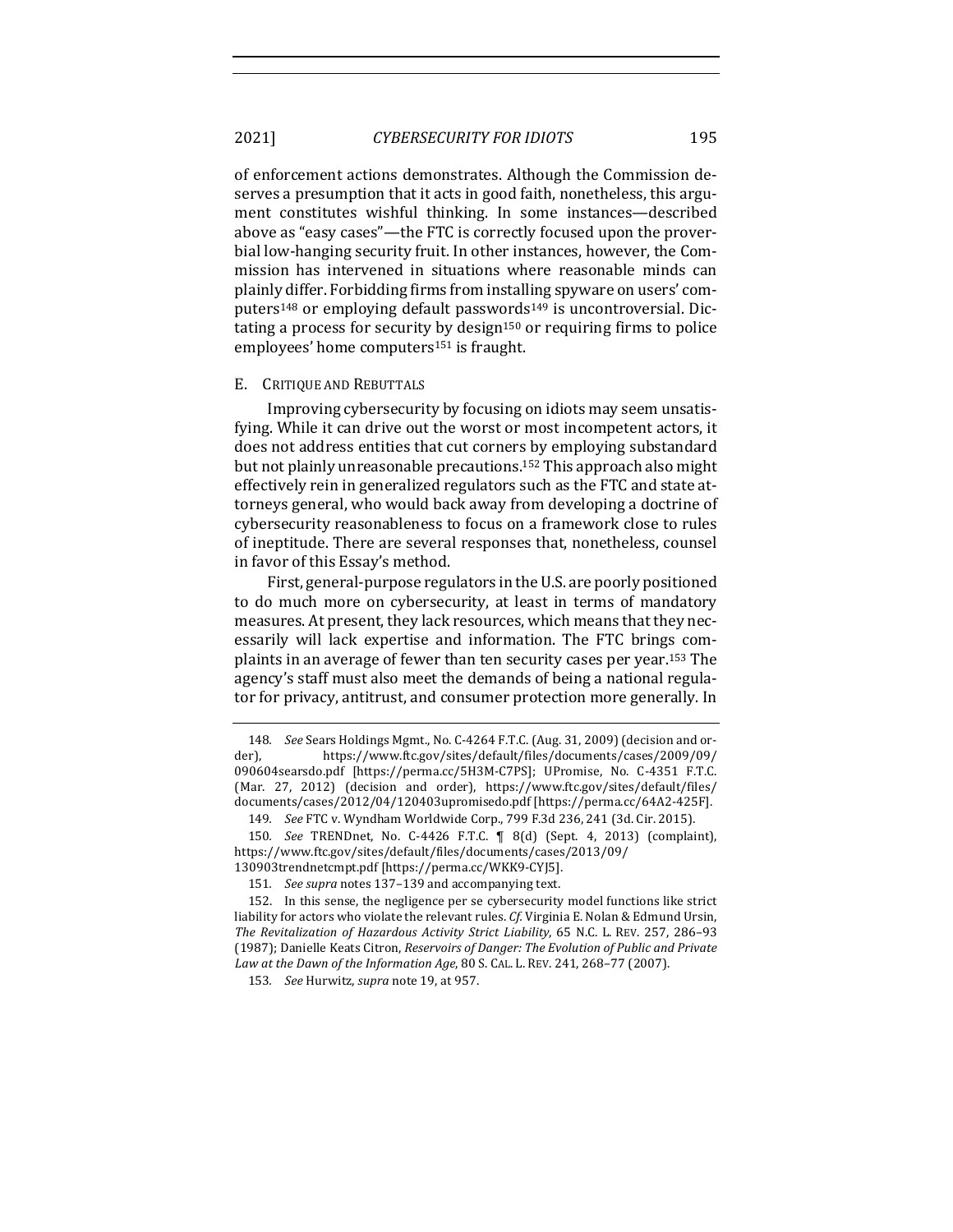of enforcement actions demonstrates. Although the Commission deserves a presumption that it acts in good faith, nonetheless, this argument constitutes wishful thinking. In some instances—described above as "easy cases"—the FTC is correctly focused upon the proverbial low-hanging security fruit. In other instances, however, the Commission has intervened in situations where reasonable minds can plainly differ. Forbidding firms from installing spyware on users' computers<sup>148</sup> or employing default passwords<sup>149</sup> is uncontroversial. Dictating a process for security by design<sup>150</sup> or requiring firms to police employees' home computers<sup>151</sup> is fraught.

### E. CRITIQUE AND REBUTTALS

Improving cybersecurity by focusing on idiots may seem unsatisfying. While it can drive out the worst or most incompetent actors, it does not address entities that cut corners by employing substandard but not plainly unreasonable precautions.<sup>152</sup> This approach also might effectively rein in generalized regulators such as the FTC and state attorneys general, who would back away from developing a doctrine of cybersecurity reasonableness to focus on a framework close to rules of ineptitude. There are several responses that, nonetheless, counsel in favor of this Essay's method.

First, general-purpose regulators in the U.S. are poorly positioned to do much more on cybersecurity, at least in terms of mandatory measures. At present, they lack resources, which means that they necessarily will lack expertise and information. The FTC brings complaints in an average of fewer than ten security cases per year.<sup>153</sup> The agency's staff must also meet the demands of being a national regulator for privacy, antitrust, and consumer protection more generally. In

<sup>148.</sup> *See* Sears Holdings Mgmt., No. C-4264 F.T.C. (Aug. 31, 2009) (decision and order), https://www.ftc.gov/sites/default/files/documents/cases/2009/09/ 090604searsdo.pdf [https://perma.cc/5H3M-C7PS]; UPromise, No. C-4351 F.T.C. (Mar. 27, 2012) (decision and order), https://www.ftc.gov/sites/default/files/ documents/cases/2012/04/120403upromisedo.pdf [https://perma.cc/64A2-425F].

<sup>149.</sup> *See* FTC v. Wyndham Worldwide Corp., 799 F.3d 236, 241 (3d. Cir. 2015).

<sup>150</sup>*. See* TRENDnet, No. C-4426 F.T.C. ¶ 8(d) (Sept. 4, 2013) (complaint), https://www.ftc.gov/sites/default/files/documents/cases/2013/09/ 130903trendnetcmpt.pdf [https://perma.cc/WKK9-CYJ5].

<sup>151.</sup> See supra notes 137-139 and accompanying text.

<sup>152.</sup> In this sense, the negligence per se cybersecurity model functions like strict liability for actors who violate the relevant rules. Cf. Virginia E. Nolan & Edmund Ursin, The Revitalization of Hazardous Activity Strict Liability, 65 N.C. L. REV. 257, 286-93 (1987); Danielle Keats Citron, *Reservoirs of Danger: The Evolution of Public and Private* Law at the Dawn of the Information Age, 80 S. CAL. L. REV. 241, 268-77 (2007).

<sup>153.</sup> See Hurwitz, *supra* note 19, at 957.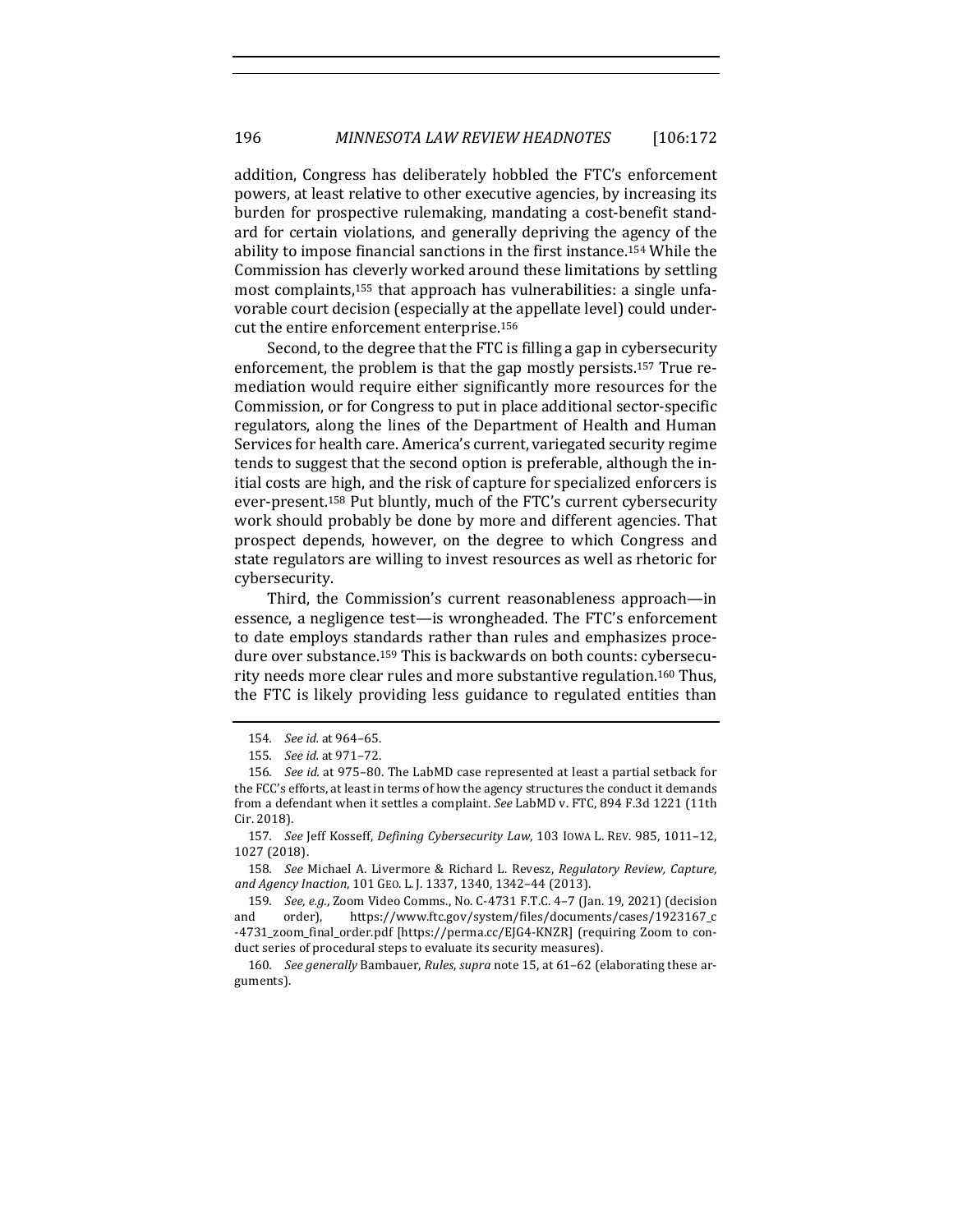addition, Congress has deliberately hobbled the FTC's enforcement powers, at least relative to other executive agencies, by increasing its burden for prospective rulemaking, mandating a cost-benefit standard for certain violations, and generally depriving the agency of the ability to impose financial sanctions in the first instance.<sup>154</sup> While the Commission has cleverly worked around these limitations by settling most complaints,<sup>155</sup> that approach has vulnerabilities: a single unfavorable court decision (especially at the appellate level) could undercut the entire enforcement enterprise.<sup>156</sup>

Second, to the degree that the FTC is filling a gap in cybersecurity enforcement, the problem is that the gap mostly persists.<sup>157</sup> True remediation would require either significantly more resources for the Commission, or for Congress to put in place additional sector-specific regulators, along the lines of the Department of Health and Human Services for health care. America's current, variegated security regime tends to suggest that the second option is preferable, although the initial costs are high, and the risk of capture for specialized enforcers is ever-present.<sup>158</sup> Put bluntly, much of the FTC's current cybersecurity work should probably be done by more and different agencies. That prospect depends, however, on the degree to which Congress and state regulators are willing to invest resources as well as rhetoric for cybersecurity.

Third, the Commission's current reasonableness approach—in essence, a negligence test—is wrongheaded. The FTC's enforcement to date employs standards rather than rules and emphasizes procedure over substance.<sup>159</sup> This is backwards on both counts: cybersecurity needs more clear rules and more substantive regulation.<sup>160</sup> Thus, the FTC is likely providing less guidance to regulated entities than

<sup>154</sup>*. See id.* at 964–65.

<sup>155</sup>*. See id.* at 971–72.

<sup>156.</sup> *See id.* at 975–80. The LabMD case represented at least a partial setback for the FCC's efforts, at least in terms of how the agency structures the conduct it demands from a defendant when it settles a complaint. See LabMD v. FTC, 894 F.3d 1221 (11th Cir. 2018).

<sup>157.</sup> See Jeff Kosseff, *Defining Cybersecurity Law*, 103 IOWA L. REV. 985, 1011-12, 1027 (2018).

<sup>158.</sup> *See* Michael A. Livermore & Richard L. Revesz, *Regulatory Review, Capture, and Agency Inaction*, 101 GEO. L. J. 1337, 1340, 1342–44 (2013).

<sup>159.</sup> *See, e.g.*, Zoom Video Comms., No. C-4731 F.T.C. 4-7 (Jan. 19, 2021) (decision and order), https://www.ftc.gov/system/files/documents/cases/1923167\_c -4731\_zoom\_final\_order.pdf [https://perma.cc/EJG4-KNZR] (requiring Zoom to conduct series of procedural steps to evaluate its security measures).

<sup>160.</sup> See generally Bambauer, *Rules*, *supra* note 15, at 61-62 (elaborating these arguments).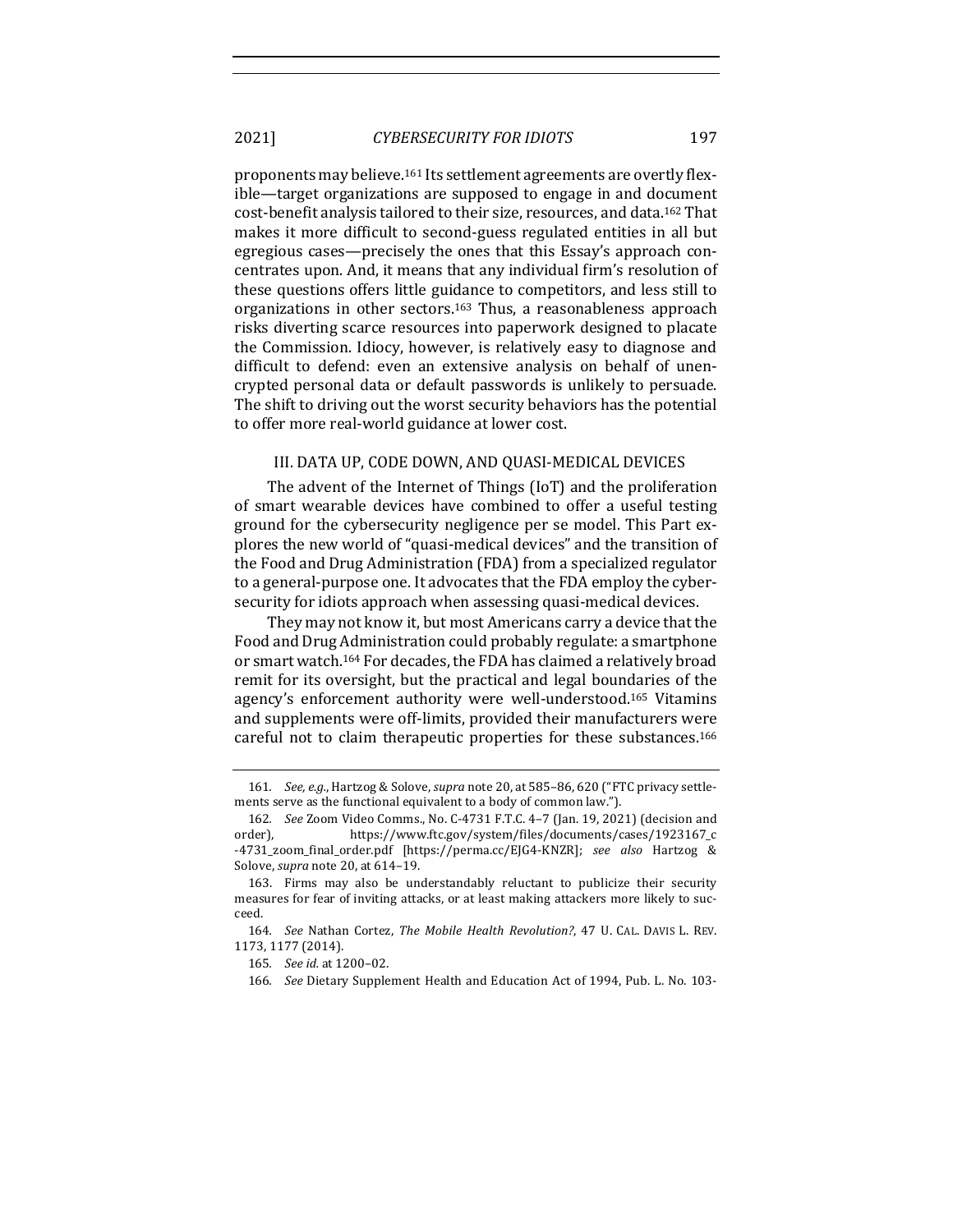proponents may believe.<sup>161</sup> Its settlement agreements are overtly flexible—target organizations are supposed to engage in and document cost-benefit analysis tailored to their size, resources, and data.<sup>162</sup> That makes it more difficult to second-guess regulated entities in all but egregious cases—precisely the ones that this Essay's approach concentrates upon. And, it means that any individual firm's resolution of these questions offers little guidance to competitors, and less still to organizations in other sectors.<sup>163</sup> Thus, a reasonableness approach risks diverting scarce resources into paperwork designed to placate the Commission. Idiocy, however, is relatively easy to diagnose and difficult to defend: even an extensive analysis on behalf of unencrypted personal data or default passwords is unlikely to persuade. The shift to driving out the worst security behaviors has the potential to offer more real-world guidance at lower cost.

# III. DATA UP, CODE DOWN, AND QUASI-MEDICAL DEVICES

The advent of the Internet of Things (IoT) and the proliferation of smart wearable devices have combined to offer a useful testing ground for the cybersecurity negligence per se model. This Part explores the new world of "quasi-medical devices" and the transition of the Food and Drug Administration (FDA) from a specialized regulator to a general-purpose one. It advocates that the FDA employ the cybersecurity for idiots approach when assessing quasi-medical devices.

They may not know it, but most Americans carry a device that the Food and Drug Administration could probably regulate: a smartphone or smart watch.<sup>164</sup> For decades, the FDA has claimed a relatively broad remit for its oversight, but the practical and legal boundaries of the agency's enforcement authority were well-understood.<sup>165</sup> Vitamins and supplements were off-limits, provided their manufacturers were careful not to claim therapeutic properties for these substances.<sup>166</sup>

<sup>161.</sup> *See, e.g.*, Hartzog & Solove, *supra* note 20, at 585-86, 620 ("FTC privacy settlements serve as the functional equivalent to a body of common law.").

<sup>162.</sup> *See* Zoom Video Comms., No. C-4731 F.T.C. 4-7 (Jan. 19, 2021) (decision and order), https://www.ftc.gov/system/files/documents/cases/1923167\_c -4731\_zoom\_final\_order.pdf [https://perma.cc/EJG4-KNZR]; *see also* Hartzog & Solove, *supra* note 20, at 614-19.

<sup>163.</sup> Firms may also be understandably reluctant to publicize their security measures for fear of inviting attacks, or at least making attackers more likely to succeed.

<sup>164.</sup> *See* Nathan Cortez, The Mobile Health Revolution?, 47 U. CAL. DAVIS L. REV. 1173, 1177 (2014).

<sup>165</sup>*. See id.* at 1200–02.

<sup>166.</sup> See Dietary Supplement Health and Education Act of 1994, Pub. L. No. 103-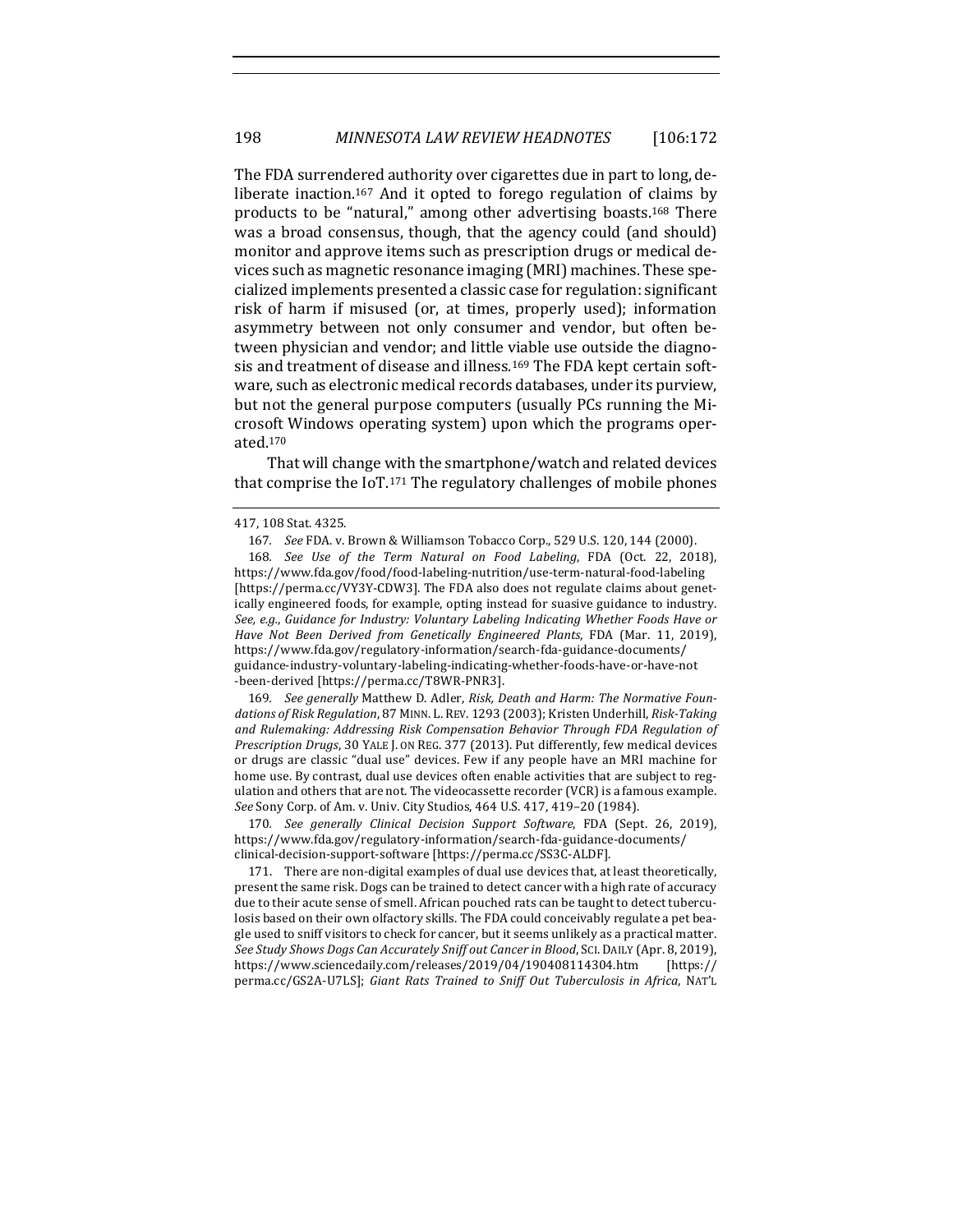The FDA surrendered authority over cigarettes due in part to long, deliberate inaction.<sup>167</sup> And it opted to forego regulation of claims by products to be "natural," among other advertising boasts.<sup>168</sup> There was a broad consensus, though, that the agency could (and should) monitor and approve items such as prescription drugs or medical devices such as magnetic resonance imaging (MRI) machines. These specialized implements presented a classic case for regulation: significant risk of harm if misused (or, at times, properly used); information asymmetry between not only consumer and vendor, but often between physician and vendor; and little viable use outside the diagnosis and treatment of disease and illness.<sup>169</sup> The FDA kept certain software, such as electronic medical records databases, under its purview, but not the general purpose computers (usually PCs running the Microsoft Windows operating system) upon which the programs operated.170

That will change with the smartphone/watch and related devices that comprise the  $I_0T$ .<sup>171</sup> The regulatory challenges of mobile phones

169. See generally Matthew D. Adler, Risk, Death and Harm: The Normative Foundations of Risk Regulation, 87 MINN. L. REV. 1293 (2003); Kristen Underhill, Risk-Taking and Rulemaking: Addressing Risk Compensation Behavior Through FDA Regulation of *Prescription Drugs*, 30 YALE J. ON REG. 377 (2013). Put differently, few medical devices or drugs are classic "dual use" devices. Few if any people have an MRI machine for home use. By contrast, dual use devices often enable activities that are subject to regulation and others that are not. The videocassette recorder (VCR) is a famous example. *See* Sony Corp. of Am. v. Univ. City Studios, 464 U.S. 417, 419-20 (1984).

170*. See generally Clinical Decision Support Software*, FDA (Sept. 26, 2019), https://www.fda.gov/regulatory-information/search-fda-guidance-documents/ clinical-decision-support-software [https://perma.cc/SS3C-ALDF].

171. There are non-digital examples of dual use devices that, at least theoretically, present the same risk. Dogs can be trained to detect cancer with a high rate of accuracy due to their acute sense of smell. African pouched rats can be taught to detect tuberculosis based on their own olfactory skills. The FDA could conceivably regulate a pet beagle used to sniff visitors to check for cancer, but it seems unlikely as a practical matter. See Study Shows Dogs Can Accurately Sniff out Cancer in Blood, SCI. DAILY (Apr. 8, 2019), https://www.sciencedaily.com/releases/2019/04/190408114304.htm [https:// perma.cc/GS2A-U7LS]; Giant Rats Trained to Sniff Out Tuberculosis in Africa, NAT'L

<sup>417, 108</sup> Stat. 4325.

<sup>167.</sup> *See* FDA. v. Brown & Williamson Tobacco Corp., 529 U.S. 120, 144 (2000).

<sup>168.</sup> See Use of the Term Natural on Food Labeling, FDA (Oct. 22, 2018), https://www.fda.gov/food/food-labeling-nutrition/use-term-natural-food-labeling [https://perma.cc/VY3Y-CDW3]. The FDA also does not regulate claims about genetically engineered foods, for example, opting instead for suasive guidance to industry. See, e.g., Guidance for Industry: Voluntary Labeling Indicating Whether Foods Have or *Have Not Been Derived from Genetically Engineered Plants*, FDA (Mar. 11, 2019), https://www.fda.gov/regulatory-information/search-fda-guidance-documents/ guidance-industry-voluntary-labeling-indicating-whether-foods-have-or-have-not -been-derived [https://perma.cc/T8WR-PNR3].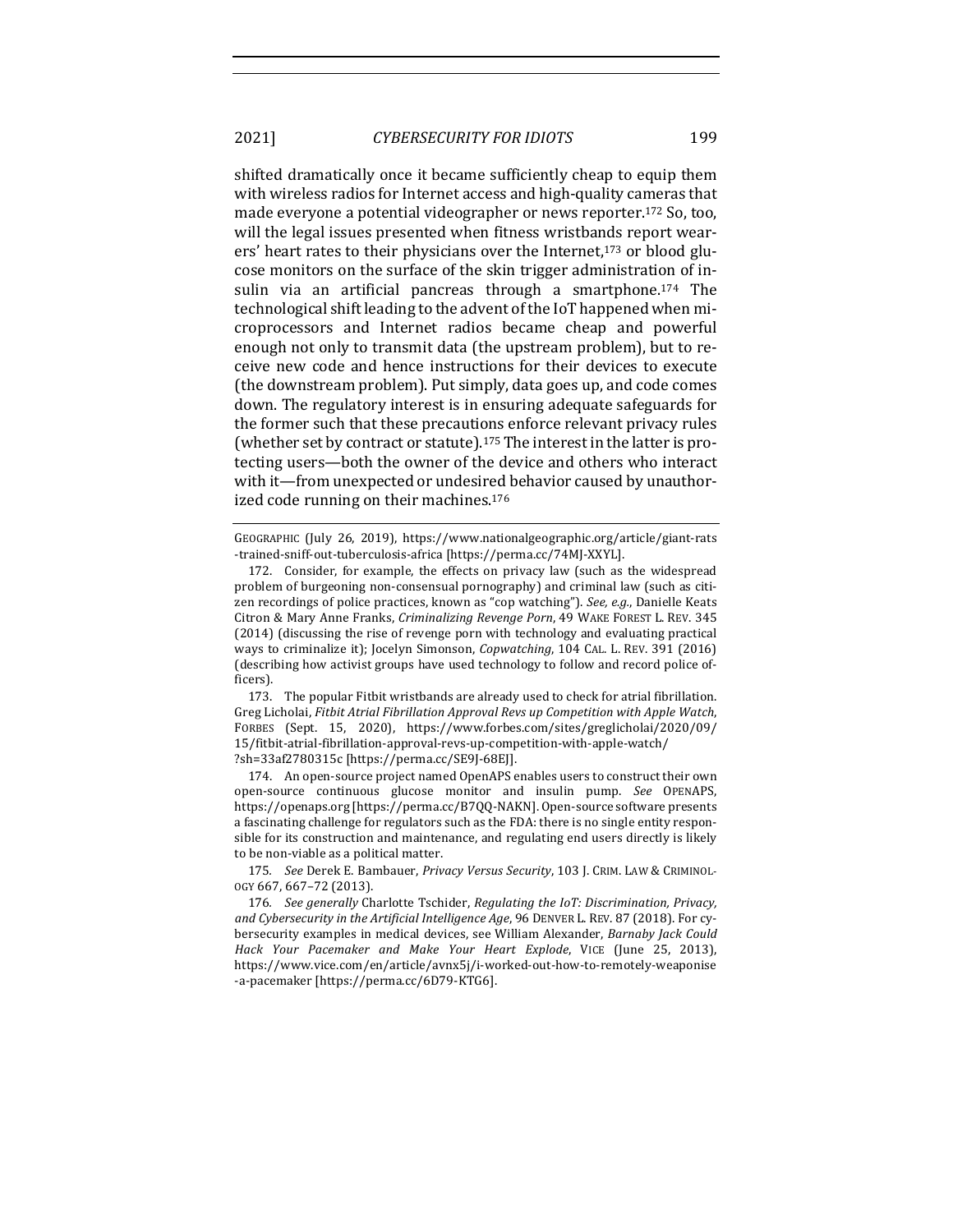shifted dramatically once it became sufficiently cheap to equip them with wireless radios for Internet access and high-quality cameras that made everyone a potential videographer or news reporter.<sup>172</sup> So, too, will the legal issues presented when fitness wristbands report wearers' heart rates to their physicians over the Internet,<sup>173</sup> or blood glucose monitors on the surface of the skin trigger administration of insulin via an artificial pancreas through a smartphone.<sup>174</sup> The technological shift leading to the advent of the IoT happened when microprocessors and Internet radios became cheap and powerful enough not only to transmit data (the upstream problem), but to receive new code and hence instructions for their devices to execute (the downstream problem). Put simply, data goes up, and code comes down. The regulatory interest is in ensuring adequate safeguards for the former such that these precautions enforce relevant privacy rules (whether set by contract or statute).<sup>175</sup> The interest in the latter is protecting users-both the owner of the device and others who interact with it—from unexpected or undesired behavior caused by unauthorized code running on their machines.<sup>176</sup>

GEOGRAPHIC (July 26, 2019), https://www.nationalgeographic.org/article/giant-rats -trained-sniff-out-tuberculosis-africa [https://perma.cc/74MJ-XXYL].

173. The popular Fitbit wristbands are already used to check for atrial fibrillation. Greg Licholai, *Fitbit Atrial Fibrillation Approval Revs up Competition with Apple Watch*, FORBES (Sept. 15, 2020), https://www.forbes.com/sites/greglicholai/2020/09/ 15/fitbit-atrial-fibrillation-approval-revs-up-competition-with-apple-watch/ ?sh=33af2780315c [https://perma.cc/SE9J-68EJ].

174. An open-source project named OpenAPS enables users to construct their own open-source continuous glucose monitor and insulin pump. *See* OPENAPS, https://openaps.org [https://perma.cc/B7QQ-NAKN]. Open-source software presents a fascinating challenge for regulators such as the FDA: there is no single entity responsible for its construction and maintenance, and regulating end users directly is likely to be non-viable as a political matter.

175. See Derek E. Bambauer, *Privacy Versus Security*, 103 J. CRIM. LAW & CRIMINOL-OGY 667, 667–72 (2013). 

176. See generally Charlotte Tschider, *Regulating the IoT: Discrimination, Privacy*, and Cybersecurity in the Artificial Intelligence Age, 96 DENVER L. REV. 87 (2018). For cybersecurity examples in medical devices, see William Alexander, *Barnaby Jack Could Hack Your Pacemaker and Make Your Heart Explode*, VICE (June 25, 2013), https://www.vice.com/en/article/avnx5j/i-worked-out-how-to-remotely-weaponise -a-pacemaker [https://perma.cc/6D79-KTG6].

<sup>172.</sup> Consider, for example, the effects on privacy law (such as the widespread problem of burgeoning non-consensual pornography) and criminal law (such as citizen recordings of police practices, known as "cop watching"). *See, e.g.*, Danielle Keats Citron & Mary Anne Franks, *Criminalizing Revenge Porn*, 49 WAKE FOREST L. REV. 345 (2014) (discussing the rise of revenge porn with technology and evaluating practical ways to criminalize it); Jocelyn Simonson, *Copwatching*, 104 CAL. L. REV. 391 (2016) (describing how activist groups have used technology to follow and record police officers).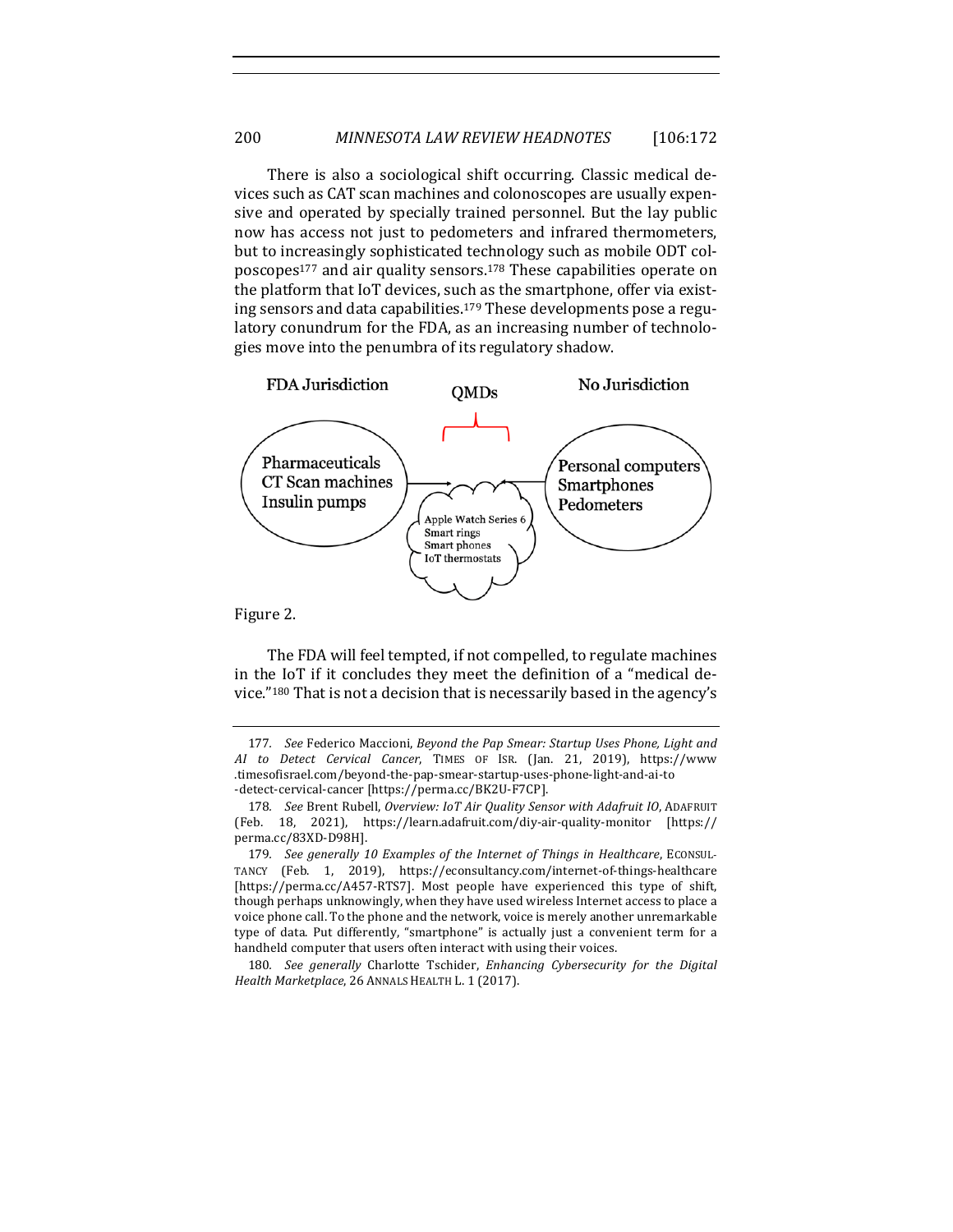There is also a sociological shift occurring. Classic medical devices such as CAT scan machines and colonoscopes are usually expensive and operated by specially trained personnel. But the lay public now has access not just to pedometers and infrared thermometers, but to increasingly sophisticated technology such as mobile ODT colposcopes<sup>177</sup> and air quality sensors.<sup>178</sup> These capabilities operate on the platform that IoT devices, such as the smartphone, offer via existing sensors and data capabilities.<sup>179</sup> These developments pose a regulatory conundrum for the FDA, as an increasing number of technologies move into the penumbra of its regulatory shadow.



The FDA will feel tempted, if not compelled, to regulate machines in the IoT if it concludes they meet the definition of a "medical device."<sup>180</sup> That is not a decision that is necessarily based in the agency's

180. See generally Charlotte Tschider, *Enhancing Cybersecurity for the Digital* Health Marketplace, 26 ANNALS HEALTH L. 1 (2017).

<sup>177.</sup> See Federico Maccioni, *Beyond the Pap Smear: Startup Uses Phone, Light and AI to Detect Cervical Cancer*, TIMES OF ISR. (Jan. 21, 2019), https://www .timesofisrael.com/beyond-the-pap-smear-startup-uses-phone-light-and-ai-to -detect-cervical-cancer [https://perma.cc/BK2U-F7CP].

<sup>178.</sup> See Brent Rubell, Overview: IoT Air Quality Sensor with Adafruit IO, ADAFRUIT (Feb. 18, 2021), https://learn.adafruit.com/diy-air-quality-monitor [https:// perma.cc/83XD-D98H].

<sup>179.</sup> *See generally 10 Examples of the Internet of Things in Healthcare, ECONSUL-*TANCY (Feb. 1, 2019), https://econsultancy.com/internet-of-things-healthcare [https://perma.cc/A457-RTS7]. Most people have experienced this type of shift, though perhaps unknowingly, when they have used wireless Internet access to place a voice phone call. To the phone and the network, voice is merely another unremarkable type of data. Put differently, "smartphone" is actually just a convenient term for a handheld computer that users often interact with using their voices.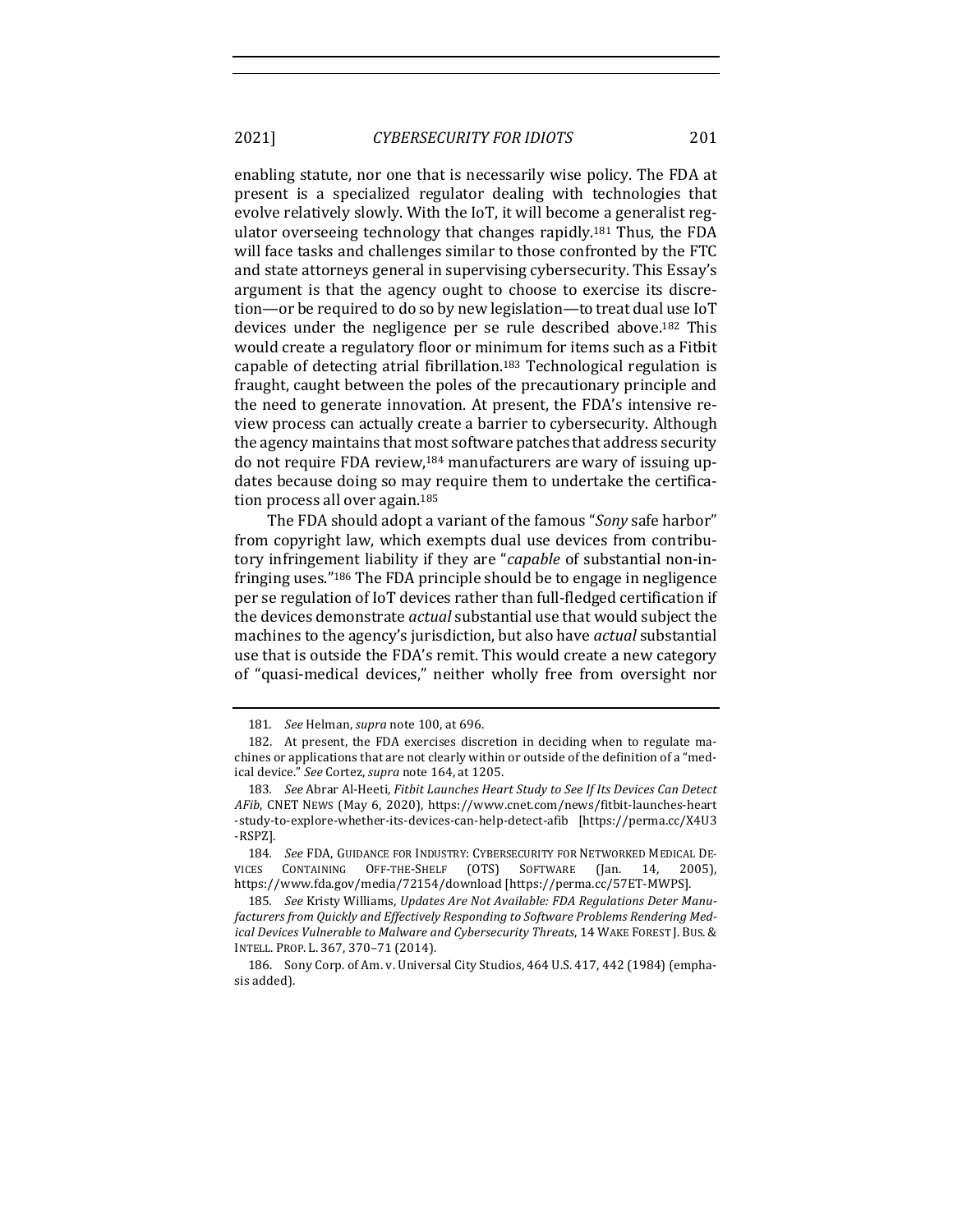enabling statute, nor one that is necessarily wise policy. The FDA at present is a specialized regulator dealing with technologies that evolve relatively slowly. With the IoT, it will become a generalist regulator overseeing technology that changes rapidly.<sup>181</sup> Thus, the FDA will face tasks and challenges similar to those confronted by the FTC and state attorneys general in supervising cybersecurity. This Essay's argument is that the agency ought to choose to exercise its discretion—or be required to do so by new legislation—to treat dual use IoT devices under the negligence per se rule described above.<sup>182</sup> This would create a regulatory floor or minimum for items such as a Fitbit capable of detecting atrial fibrillation.<sup>183</sup> Technological regulation is fraught, caught between the poles of the precautionary principle and the need to generate innovation. At present, the FDA's intensive review process can actually create a barrier to cybersecurity. Although the agency maintains that most software patches that address security do not require FDA review,<sup>184</sup> manufacturers are wary of issuing updates because doing so may require them to undertake the certification process all over again.<sup>185</sup>

The FDA should adopt a variant of the famous "*Sony* safe harbor" from copyright law, which exempts dual use devices from contributory infringement liability if they are "*capable* of substantial non-infringing uses."<sup>186</sup> The FDA principle should be to engage in negligence per se regulation of IoT devices rather than full-fledged certification if the devices demonstrate *actual* substantial use that would subject the machines to the agency's jurisdiction, but also have *actual* substantial use that is outside the FDA's remit. This would create a new category of "quasi-medical devices," neither wholly free from oversight nor

<sup>181.</sup> *See* Helman, *supra* note 100, at 696.

<sup>182.</sup> At present, the FDA exercises discretion in deciding when to regulate machines or applications that are not clearly within or outside of the definition of a "medical device." See Cortez, *supra* note 164, at 1205.

<sup>183.</sup> See Abrar Al-Heeti, *Fitbit Launches Heart Study to See If Its Devices Can Detect* AFib, CNET NEWS (May 6, 2020), https://www.cnet.com/news/fitbit-launches-heart -study-to-explore-whether-its-devices-can-help-detect-afib [https://perma.cc/X4U3 -RSPZ].

<sup>184.</sup> See FDA, GUIDANCE FOR INDUSTRY: CYBERSECURITY FOR NETWORKED MEDICAL DE-VICES CONTAINING OFF-THE-SHELF (OTS) SOFTWARE (Jan. 14, 2005), https://www.fda.gov/media/72154/download [https://perma.cc/57ET-MWPS].

<sup>185.</sup> See Kristy Williams, Updates Are Not Available: FDA Regulations Deter Manufacturers from Quickly and Effectively Responding to Software Problems Rendering Med*ical Devices Vulnerable to Malware and Cybersecurity Threats*, 14 WAKE FOREST J. BUS. & INTELL. PROP. L. 367, 370-71 (2014).

<sup>186.</sup> Sony Corp. of Am. v. Universal City Studios, 464 U.S. 417, 442 (1984) (emphasis added).